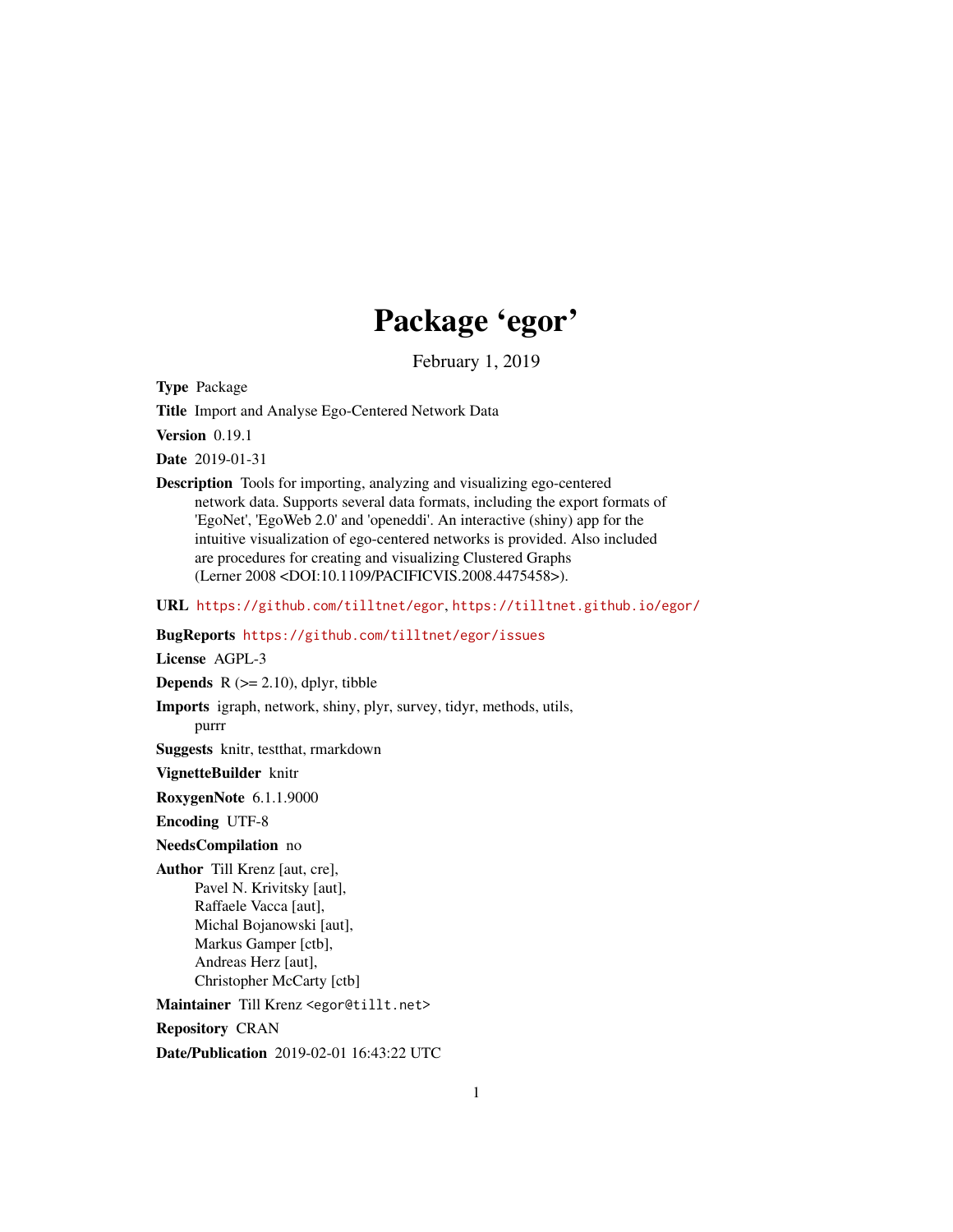# Package 'egor'

February 1, 2019

<span id="page-0-0"></span>Type Package

Title Import and Analyse Ego-Centered Network Data

Version 0.19.1

Date 2019-01-31

Description Tools for importing, analyzing and visualizing ego-centered network data. Supports several data formats, including the export formats of 'EgoNet', 'EgoWeb 2.0' and 'openeddi'. An interactive (shiny) app for the intuitive visualization of ego-centered networks is provided. Also included are procedures for creating and visualizing Clustered Graphs (Lerner 2008 <DOI:10.1109/PACIFICVIS.2008.4475458>).

URL <https://github.com/tilltnet/egor>, <https://tilltnet.github.io/egor/>

BugReports <https://github.com/tilltnet/egor/issues>

License AGPL-3 **Depends**  $R$  ( $>= 2.10$ ), dplyr, tibble Imports igraph, network, shiny, plyr, survey, tidyr, methods, utils, purrr Suggests knitr, testthat, rmarkdown VignetteBuilder knitr RoxygenNote 6.1.1.9000 Encoding UTF-8 NeedsCompilation no Author Till Krenz [aut, cre], Pavel N. Krivitsky [aut], Raffaele Vacca [aut], Michal Bojanowski [aut], Markus Gamper [ctb], Andreas Herz [aut], Christopher McCarty [ctb] Maintainer Till Krenz <egor@tillt.net> Repository CRAN Date/Publication 2019-02-01 16:43:22 UTC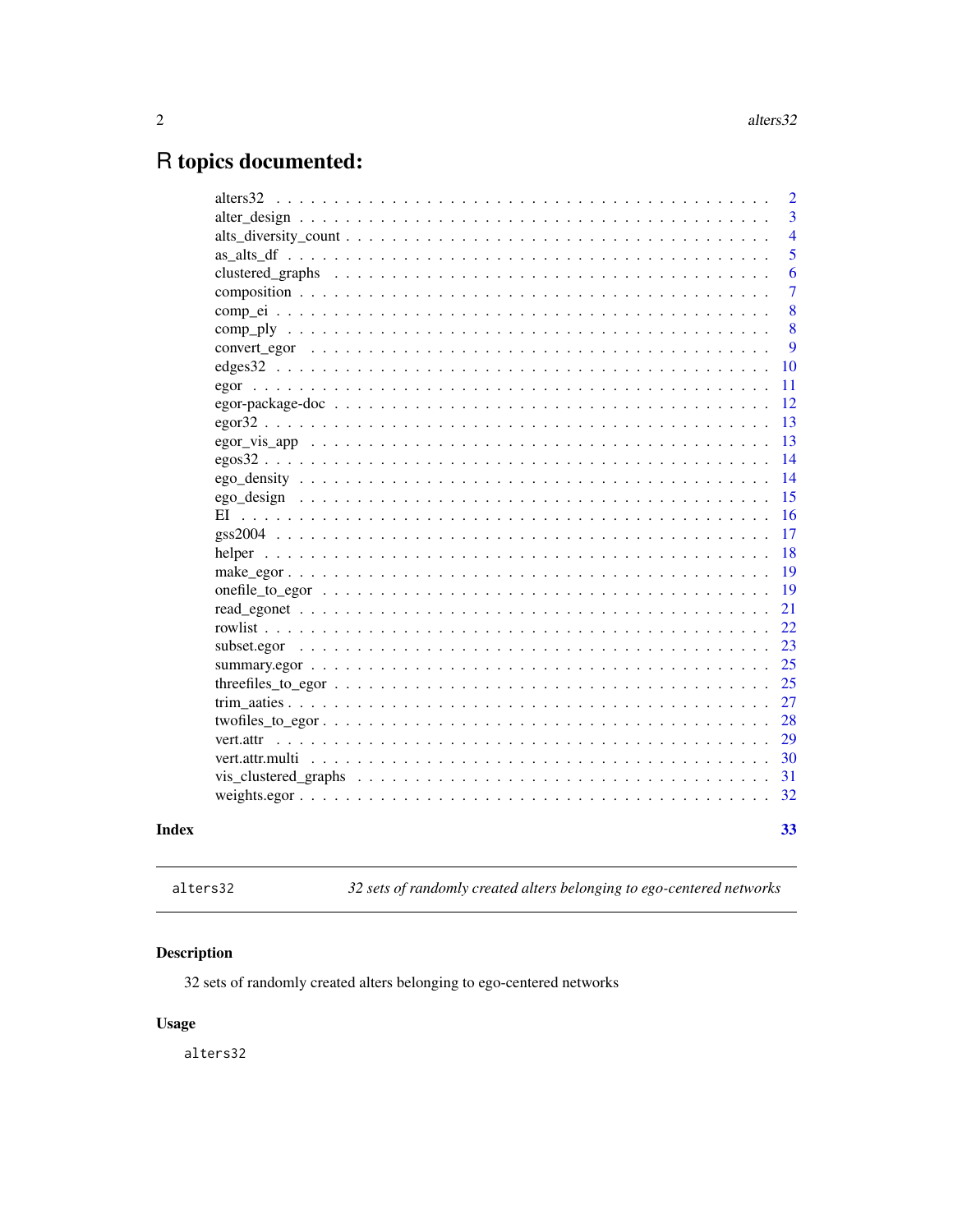## <span id="page-1-0"></span>R topics documented:

|           | $\overline{2}$ |
|-----------|----------------|
|           | 3              |
|           | $\overline{4}$ |
|           | 5              |
|           | 6              |
|           | $\overline{7}$ |
|           | 8              |
|           | 8              |
|           | 9              |
|           | 10             |
|           | 11             |
|           | 12             |
|           | 13             |
|           | 13             |
|           | 14             |
|           | 14             |
|           | 15             |
|           | 16             |
|           | 17             |
|           | 18             |
|           | 19             |
|           | 19             |
|           | 21             |
|           | 22             |
|           | 23             |
|           | 25             |
|           | 25             |
|           | 27             |
|           | 28             |
| vert.attr | 29             |
|           | 30             |
|           | 31             |
|           | 32             |
|           |                |
|           | 33             |

## **Index**

```
alters32
```
32 sets of randomly created alters belonging to ego-centered networks

## **Description**

32 sets of randomly created alters belonging to ego-centered networks

## **Usage**

alters32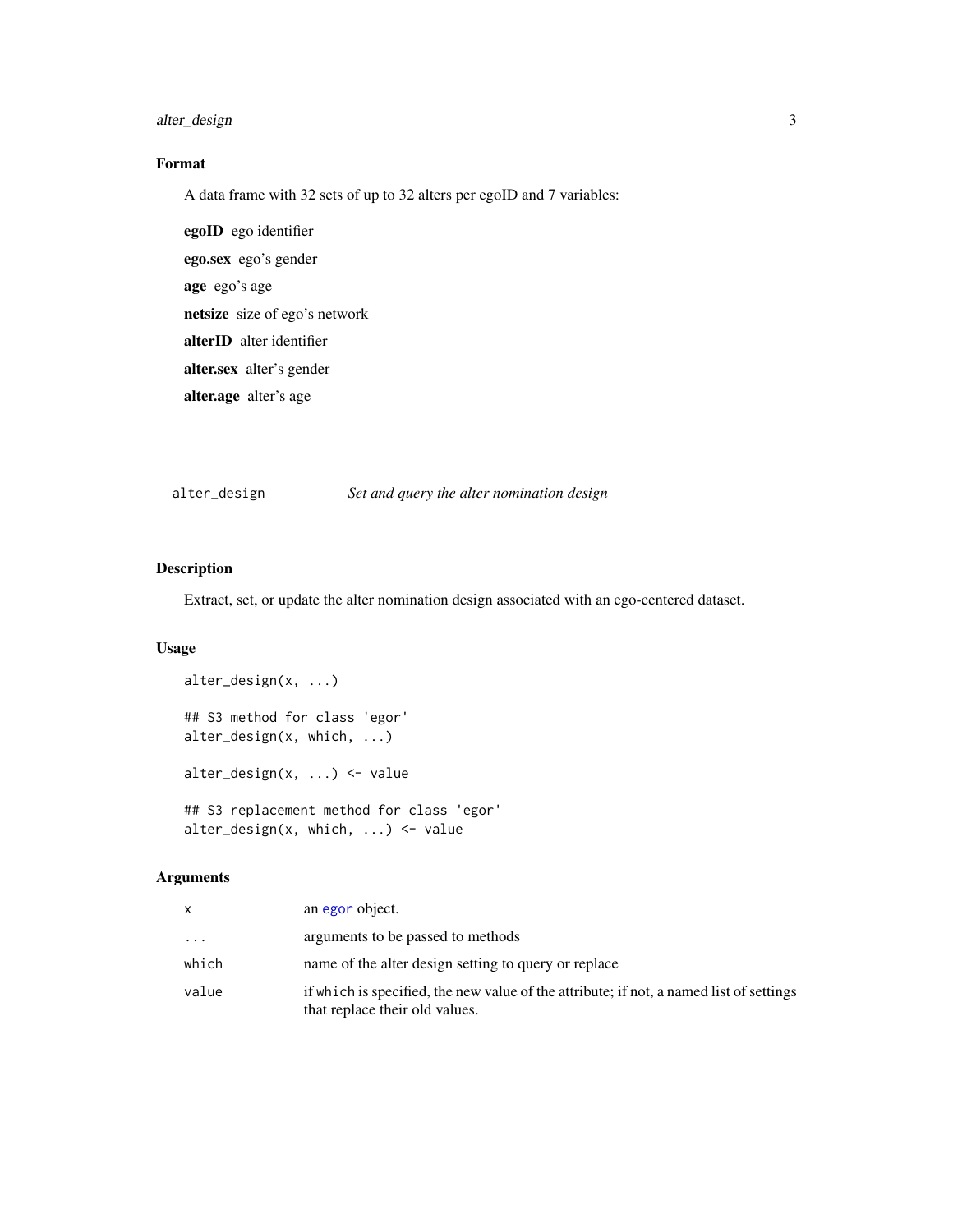## <span id="page-2-0"></span>alter\_design 3

## Format

A data frame with 32 sets of up to 32 alters per egoID and 7 variables:

egoID ego identifier ego.sex ego's gender age ego's age netsize size of ego's network alterID alter identifier alter.sex alter's gender alter.age alter's age

#### alter\_design *Set and query the alter nomination design*

#### Description

Extract, set, or update the alter nomination design associated with an ego-centered dataset.

#### Usage

```
alter_design(x, ...)
## S3 method for class 'egor'
alter_design(x, which, ...)
alter_design(x, ...) <- value
## S3 replacement method for class 'egor'
alter_design(x, which, ...) <- value
```

| x     | an egor object.                                                                                                           |
|-------|---------------------------------------------------------------------------------------------------------------------------|
| .     | arguments to be passed to methods                                                                                         |
| which | name of the alter design setting to query or replace                                                                      |
| value | if which is specified, the new value of the attribute; if not, a named list of settings<br>that replace their old values. |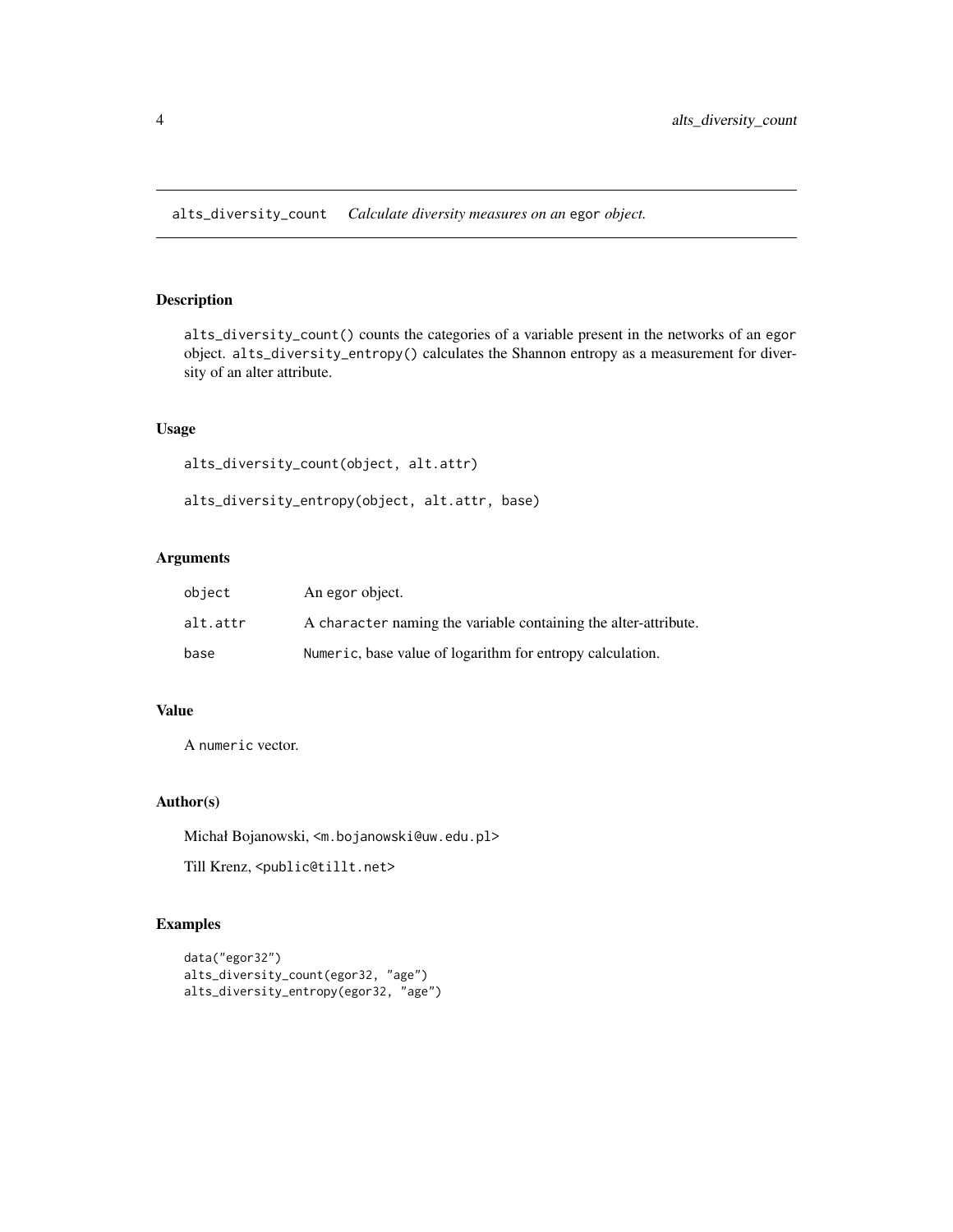<span id="page-3-0"></span>alts\_diversity\_count *Calculate diversity measures on an* egor *object.*

## Description

alts\_diversity\_count() counts the categories of a variable present in the networks of an egor object. alts\_diversity\_entropy() calculates the Shannon entropy as a measurement for diversity of an alter attribute.

## Usage

alts\_diversity\_count(object, alt.attr)

alts\_diversity\_entropy(object, alt.attr, base)

## Arguments

| object   | An egor object.                                                 |
|----------|-----------------------------------------------------------------|
| alt.attr | A character naming the variable containing the alter-attribute. |
| base     | Numeric, base value of logarithm for entropy calculation.       |

## Value

A numeric vector.

#### Author(s)

Michał Bojanowski, <m.bojanowski@uw.edu.pl>

Till Krenz, <public@tillt.net>

## Examples

```
data("egor32")
alts_diversity_count(egor32, "age")
alts_diversity_entropy(egor32, "age")
```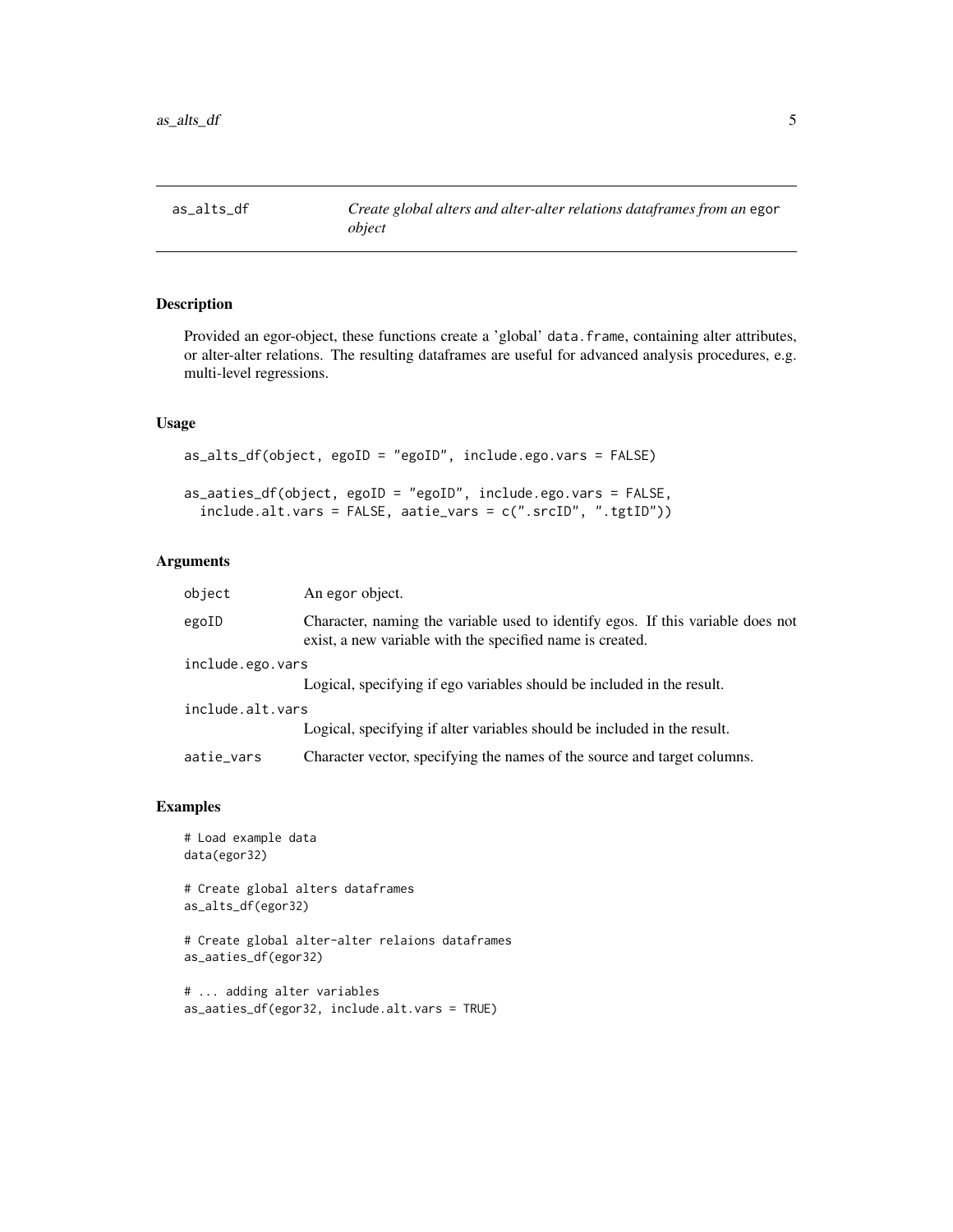<span id="page-4-0"></span>

## Description

Provided an egor-object, these functions create a 'global' data.frame, containing alter attributes, or alter-alter relations. The resulting dataframes are useful for advanced analysis procedures, e.g. multi-level regressions.

#### Usage

```
as_alts_df(object, egoID = "egoID", include.ego.vars = FALSE)
as_aaties_df(object, egoID = "egoID", include.ego.vars = FALSE,
  include.alt.vars = FALSE, aatie_vars = c(".srcID", ".tgtID"))
```
#### Arguments

| object           | An egor object.                                                                                                                              |
|------------------|----------------------------------------------------------------------------------------------------------------------------------------------|
| egoID            | Character, naming the variable used to identify egos. If this variable does not<br>exist, a new variable with the specified name is created. |
| include.ego.vars |                                                                                                                                              |
|                  | Logical, specifying if ego variables should be included in the result.                                                                       |
| include.alt.vars |                                                                                                                                              |
|                  | Logical, specifying if alter variables should be included in the result.                                                                     |
| aatie_vars       | Character vector, specifying the names of the source and target columns.                                                                     |

## Examples

```
# Load example data
data(egor32)
```
# Create global alters dataframes as\_alts\_df(egor32)

# Create global alter-alter relaions dataframes as\_aaties\_df(egor32)

```
# ... adding alter variables
as_aaties_df(egor32, include.alt.vars = TRUE)
```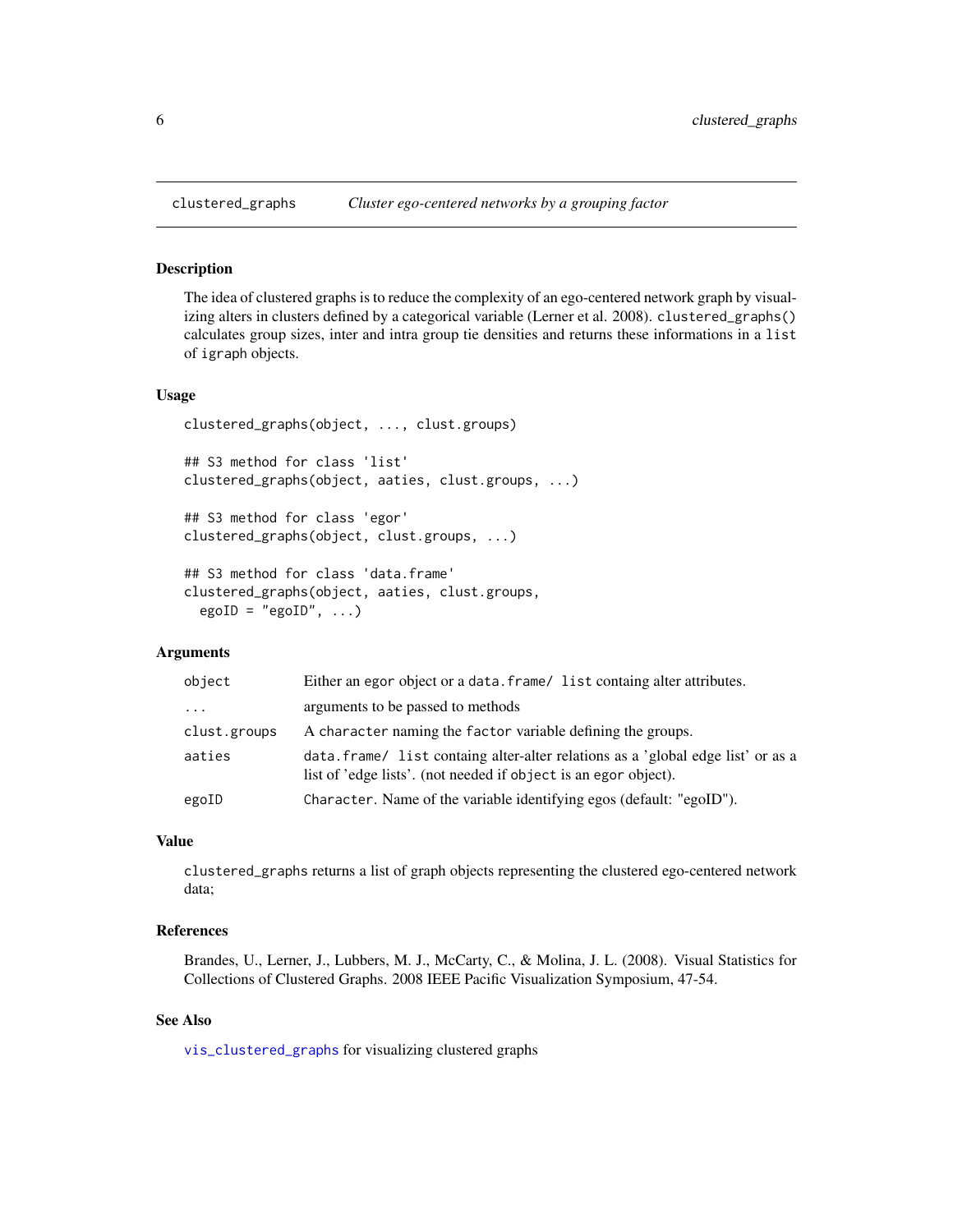#### Description

The idea of clustered graphs is to reduce the complexity of an ego-centered network graph by visualizing alters in clusters defined by a categorical variable (Lerner et al. 2008). clustered\_graphs() calculates group sizes, inter and intra group tie densities and returns these informations in a list of igraph objects.

#### Usage

```
clustered_graphs(object, ..., clust.groups)
## S3 method for class 'list'
clustered_graphs(object, aaties, clust.groups, ...)
## S3 method for class 'egor'
clustered_graphs(object, clust.groups, ...)
```

```
## S3 method for class 'data.frame'
clustered_graphs(object, aaties, clust.groups,
 egoID = "egoID", ...
```
## Arguments

| object       | Either an egor object or a data. frame/ list containg alter attributes.                                                                             |
|--------------|-----------------------------------------------------------------------------------------------------------------------------------------------------|
| $\cdots$     | arguments to be passed to methods                                                                                                                   |
| clust.groups | A character naming the factor variable defining the groups.                                                                                         |
| aaties       | data. frame/ list containg alter-alter relations as a 'global edge list' or as a<br>list of 'edge lists'. (not needed if object is an egor object). |
| egoID        | Character. Name of the variable identifying egos (default: "egoID").                                                                                |

#### Value

clustered\_graphs returns a list of graph objects representing the clustered ego-centered network data;

#### References

Brandes, U., Lerner, J., Lubbers, M. J., McCarty, C., & Molina, J. L. (2008). Visual Statistics for Collections of Clustered Graphs. 2008 IEEE Pacific Visualization Symposium, 47-54.

## See Also

[vis\\_clustered\\_graphs](#page-30-1) for visualizing clustered graphs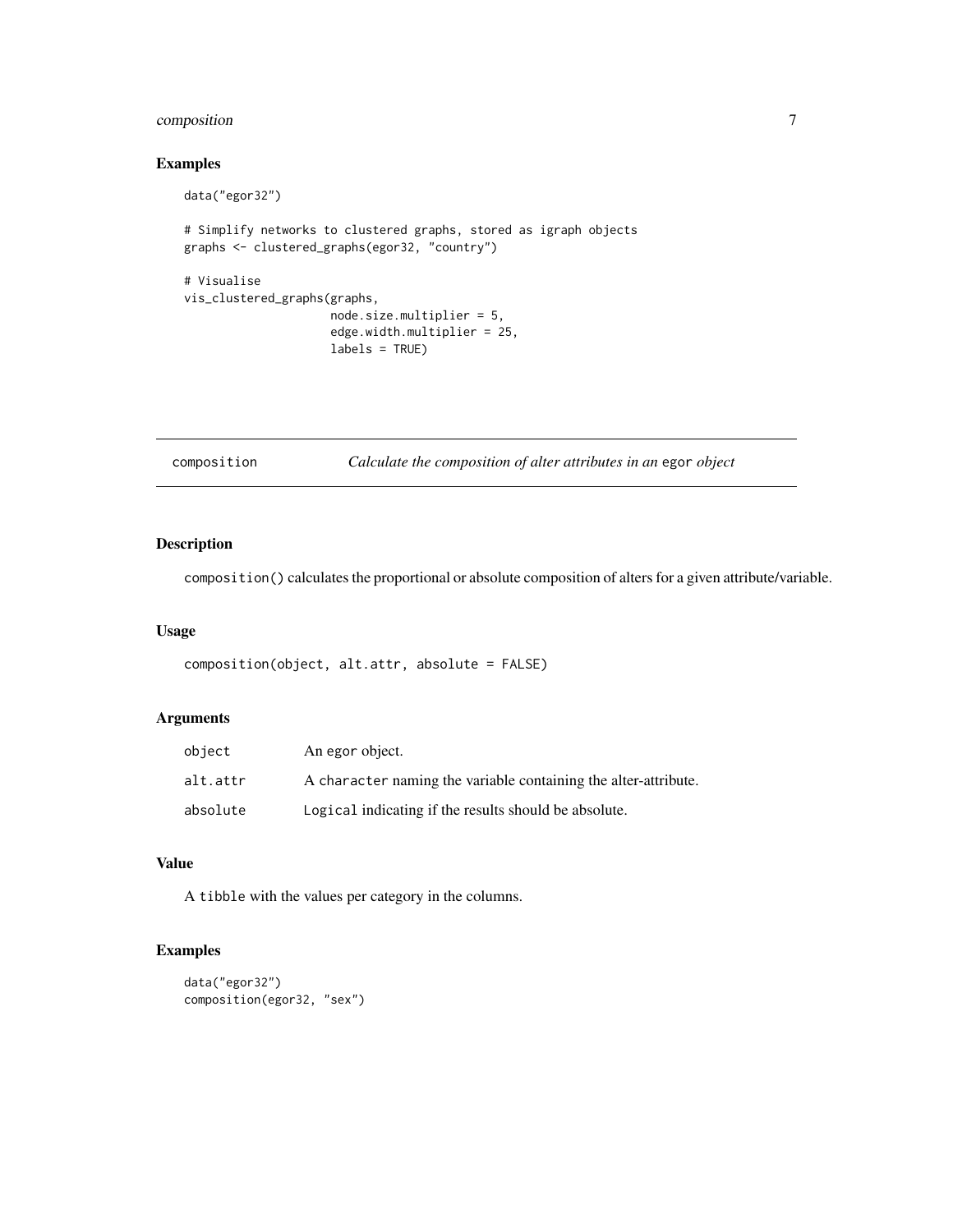## <span id="page-6-0"></span>composition 7

## Examples

```
data("egor32")
# Simplify networks to clustered graphs, stored as igraph objects
graphs <- clustered_graphs(egor32, "country")
# Visualise
vis_clustered_graphs(graphs,
                     node.size.multiplier = 5,
                     edge.width.multiplier = 25,
                     labels = TRUE)
```
composition *Calculate the composition of alter attributes in an* egor *object*

## Description

composition() calculates the proportional or absolute composition of alters for a given attribute/variable.

#### Usage

```
composition(object, alt.attr, absolute = FALSE)
```
## Arguments

| object   | An egor object.                                                 |
|----------|-----------------------------------------------------------------|
| alt.attr | A character naming the variable containing the alter-attribute. |
| absolute | Logical indicating if the results should be absolute.           |

#### Value

A tibble with the values per category in the columns.

## Examples

```
data("egor32")
composition(egor32, "sex")
```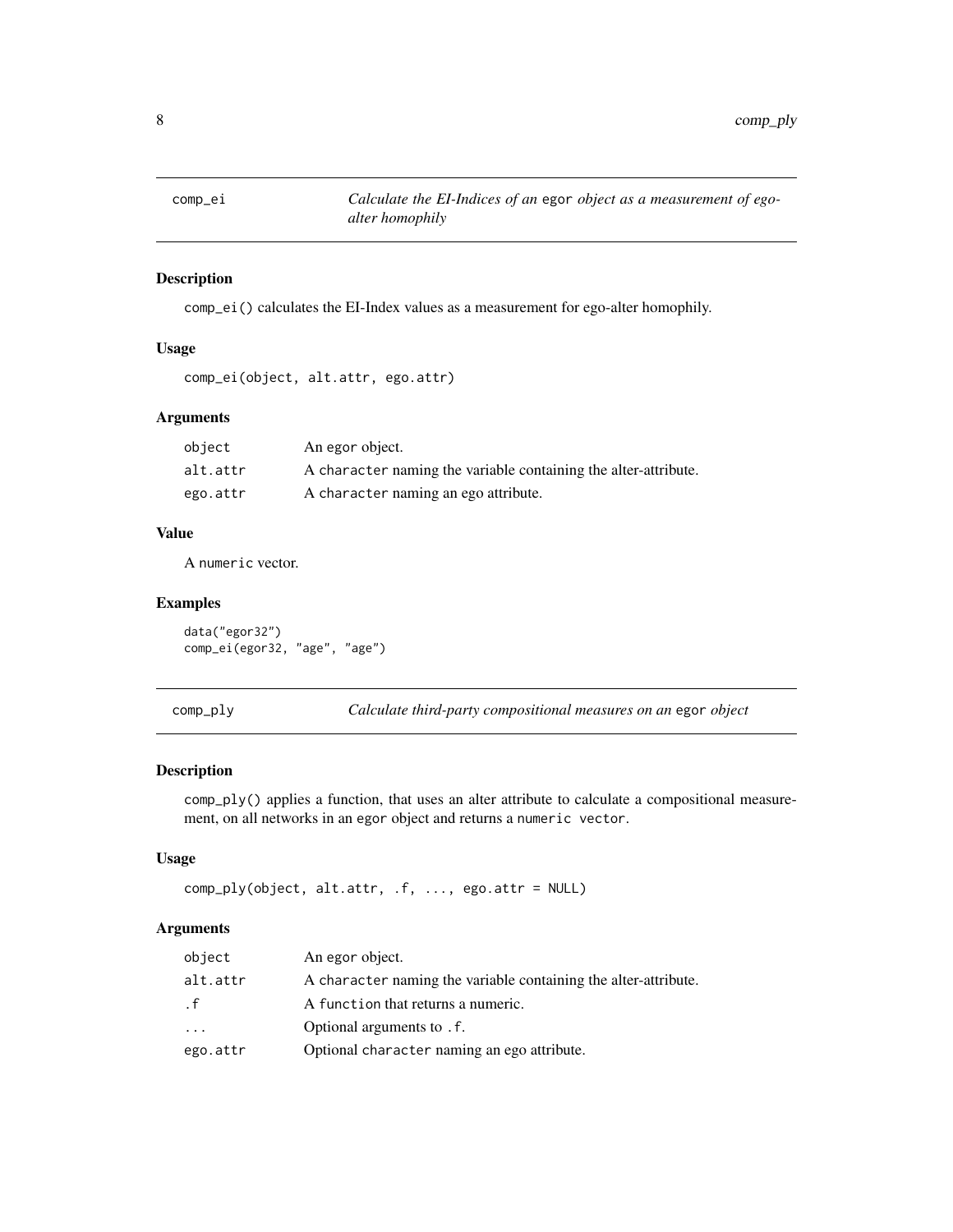<span id="page-7-0"></span>

## Description

comp\_ei() calculates the EI-Index values as a measurement for ego-alter homophily.

#### Usage

```
comp_ei(object, alt.attr, ego.attr)
```
#### Arguments

| object   | An egor object.                                                 |
|----------|-----------------------------------------------------------------|
| alt.attr | A character naming the variable containing the alter-attribute. |
| ego.attr | A character naming an ego attribute.                            |

## Value

A numeric vector.

#### Examples

data("egor32") comp\_ei(egor32, "age", "age")

comp\_ply *Calculate third-party compositional measures on an* egor *object*

#### Description

comp\_ply() applies a function, that uses an alter attribute to calculate a compositional measurement, on all networks in an egor object and returns a numeric vector.

#### Usage

comp\_ply(object, alt.attr, .f, ..., ego.attr = NULL)

| object     | An egor object.                                                 |
|------------|-----------------------------------------------------------------|
| alt.attr   | A character naming the variable containing the alter-attribute. |
| . f        | A function that returns a numeric.                              |
| $\ddots$ . | Optional arguments to . f.                                      |
| ego.attr   | Optional character naming an ego attribute.                     |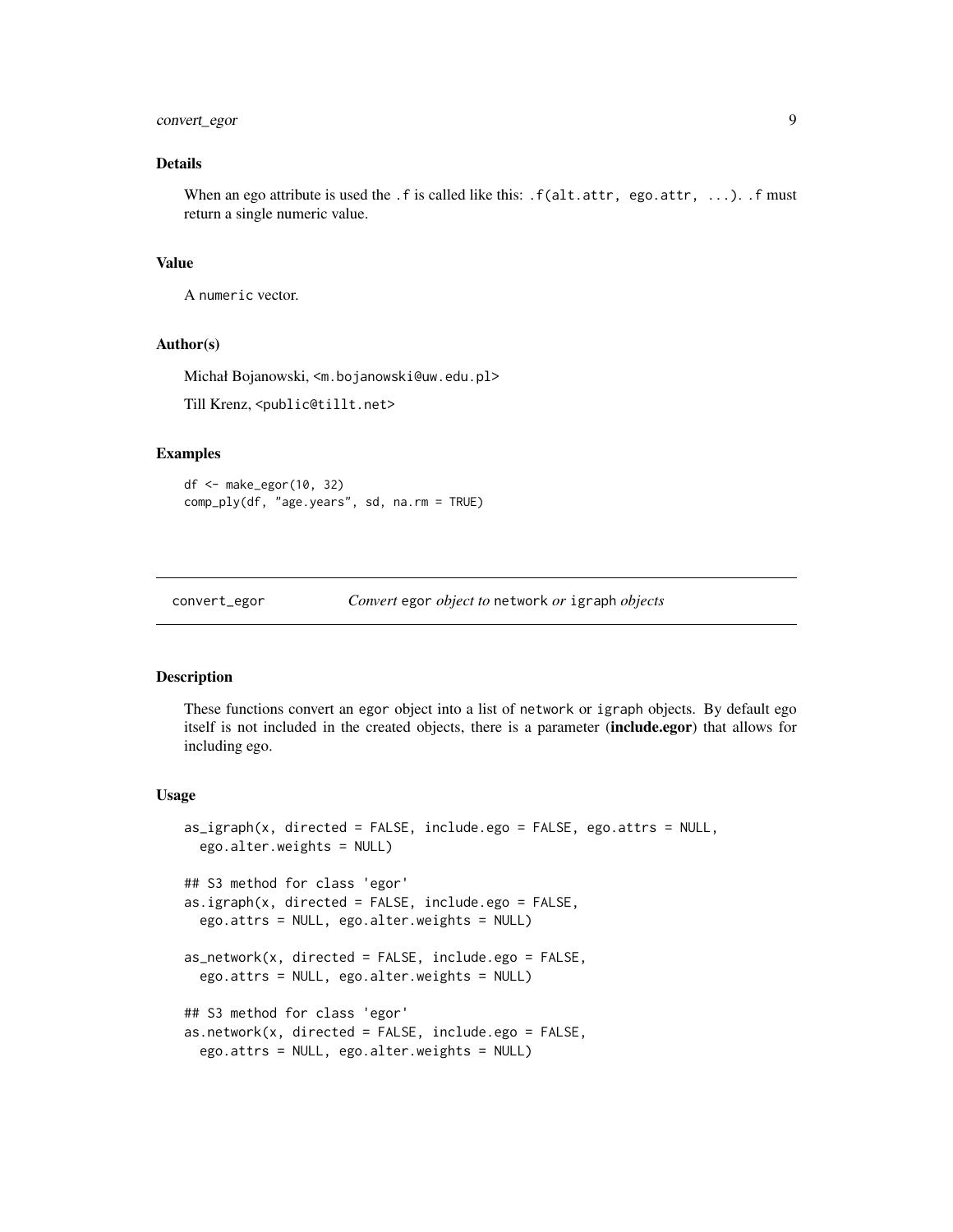## <span id="page-8-0"></span>convert\_egor 9

## Details

When an ego attribute is used the .f is called like this:  $.f(alt.attr, ego.attr, ...)$ . f must return a single numeric value.

#### Value

A numeric vector.

#### Author(s)

Michał Bojanowski, <m.bojanowski@uw.edu.pl>

Till Krenz, <public@tillt.net>

## Examples

df <- make\_egor(10, 32) comp\_ply(df, "age.years", sd, na.rm = TRUE)

| convert_egor | Convert egor object to network or igraph objects |
|--------------|--------------------------------------------------|
|              |                                                  |

#### Description

These functions convert an egor object into a list of network or igraph objects. By default ego itself is not included in the created objects, there is a parameter (include.egor) that allows for including ego.

#### Usage

```
as_igraph(x, directed = FALSE, include.ego = FALSE, ego.attrs = NULL,
 ego.alter.weights = NULL)
## S3 method for class 'egor'
as.igraph(x, directed = FALSE, include.ego = FALSE,
 ego.attrs = NULL, ego.alter.weights = NULL)
as_network(x, directed = FALSE, include.ego = FALSE,
  ego.attrs = NULL, ego.alter.weights = NULL)
## S3 method for class 'egor'
as.network(x, directed = FALSE, include.ego = FALSE,ego.attrs = NULL, ego.alter.weights = NULL)
```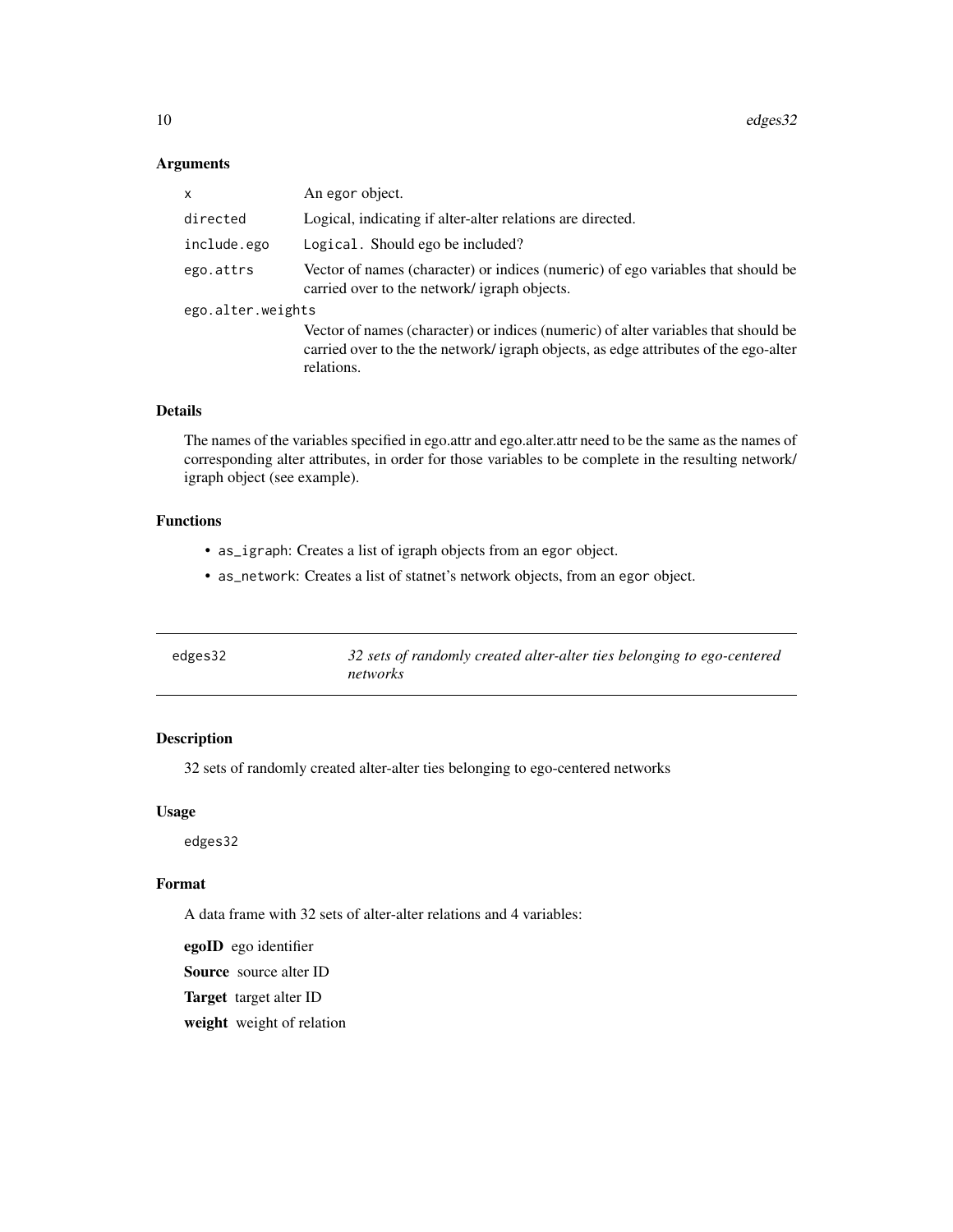## <span id="page-9-0"></span>Arguments

| x                 | An egor object.                                                                                                                                                                         |
|-------------------|-----------------------------------------------------------------------------------------------------------------------------------------------------------------------------------------|
| directed          | Logical, indicating if alter-alter relations are directed.                                                                                                                              |
| include.ego       | Logical. Should ego be included?                                                                                                                                                        |
| ego.attrs         | Vector of names (character) or indices (numeric) of ego variables that should be<br>carried over to the network/ igraph objects.                                                        |
| ego.alter.weights |                                                                                                                                                                                         |
|                   | Vector of names (character) or indices (numeric) of alter variables that should be<br>carried over to the the network/igraph objects, as edge attributes of the ego-alter<br>relations. |

## Details

The names of the variables specified in ego.attr and ego.alter.attr need to be the same as the names of corresponding alter attributes, in order for those variables to be complete in the resulting network/ igraph object (see example).

## Functions

- as\_igraph: Creates a list of igraph objects from an egor object.
- as\_network: Creates a list of statnet's network objects, from an egor object.

| edges32 | 32 sets of randomly created alter-alter ties belonging to ego-centered<br>networks |
|---------|------------------------------------------------------------------------------------|
|         |                                                                                    |

## Description

32 sets of randomly created alter-alter ties belonging to ego-centered networks

#### Usage

edges32

#### Format

A data frame with 32 sets of alter-alter relations and 4 variables:

egoID ego identifier Source source alter ID Target target alter ID weight weight of relation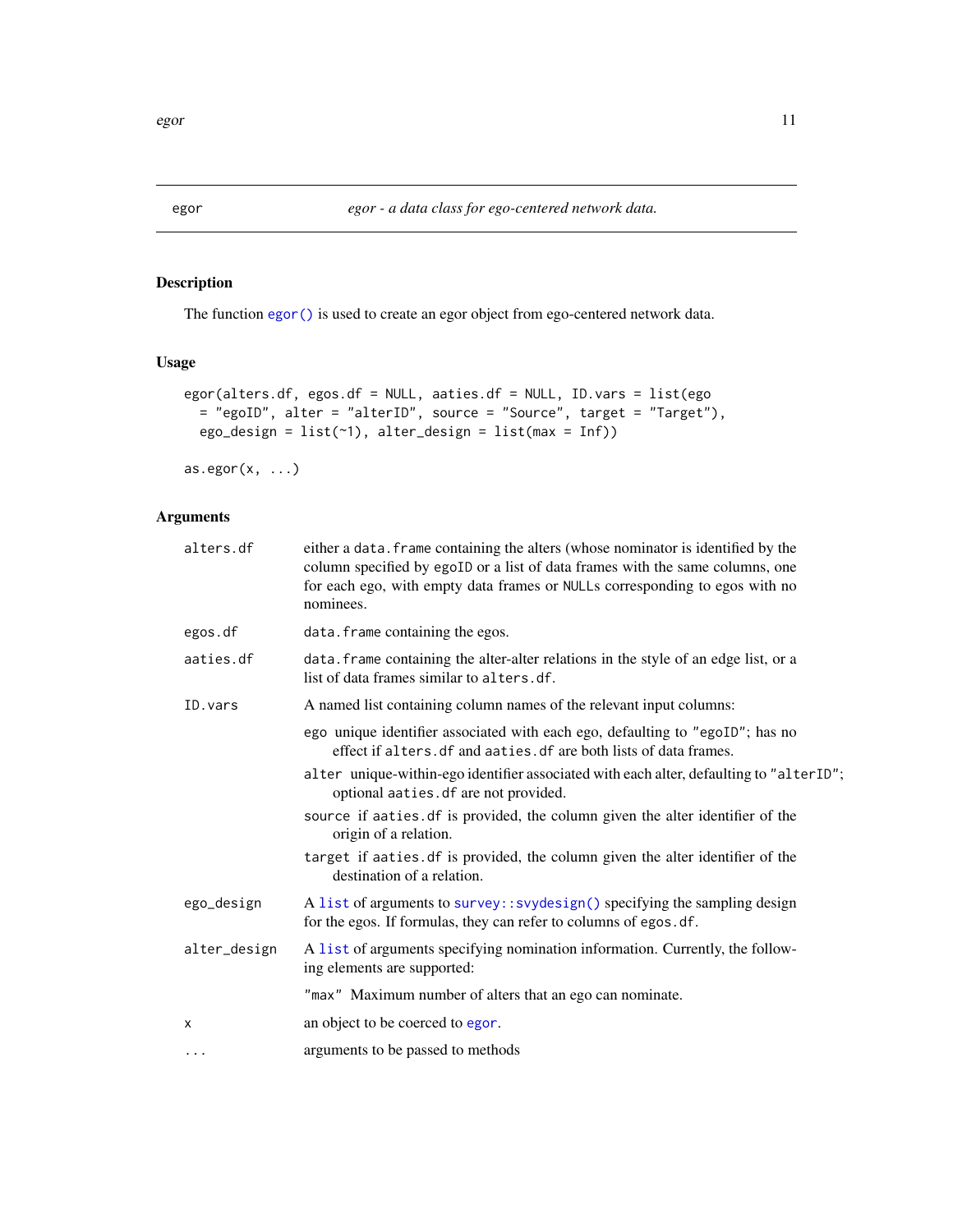<span id="page-10-1"></span><span id="page-10-0"></span>

## Description

The function [egor\(\)](#page-10-1) is used to create an egor object from ego-centered network data.

## Usage

```
egor(alters.df, egos.df = NULL, aaties.df = NULL, ID.vars = list(ego
 = "egoID", alter = "alterID", source = "Source", target = "Target"),
 ego_design = list(~1), alter_design = list(max = Inf))
```
 $as.egor(x, \ldots)$ 

| either a data. frame containing the alters (whose nominator is identified by the<br>column specified by egoID or a list of data frames with the same columns, one<br>for each ego, with empty data frames or NULLs corresponding to egos with no<br>nominees. |
|---------------------------------------------------------------------------------------------------------------------------------------------------------------------------------------------------------------------------------------------------------------|
| data. frame containing the egos.                                                                                                                                                                                                                              |
| data. frame containing the alter-alter relations in the style of an edge list, or a<br>list of data frames similar to alters.df.                                                                                                                              |
| A named list containing column names of the relevant input columns:                                                                                                                                                                                           |
| ego unique identifier associated with each ego, defaulting to "egoID"; has no<br>effect if alters. df and aaties. df are both lists of data frames.                                                                                                           |
| alter unique-within-ego identifier associated with each alter, defaulting to "alterID";<br>optional aaties. df are not provided.                                                                                                                              |
| source if aaties. df is provided, the column given the alter identifier of the<br>origin of a relation.                                                                                                                                                       |
| target if aaties.df is provided, the column given the alter identifier of the<br>destination of a relation.                                                                                                                                                   |
| A list of arguments to survey:: svydesign() specifying the sampling design<br>for the egos. If formulas, they can refer to columns of egos.df.                                                                                                                |
| A list of arguments specifying nomination information. Currently, the follow-<br>ing elements are supported:                                                                                                                                                  |
| "max" Maximum number of alters that an ego can nominate.                                                                                                                                                                                                      |
| an object to be coerced to egor.                                                                                                                                                                                                                              |
| arguments to be passed to methods                                                                                                                                                                                                                             |
|                                                                                                                                                                                                                                                               |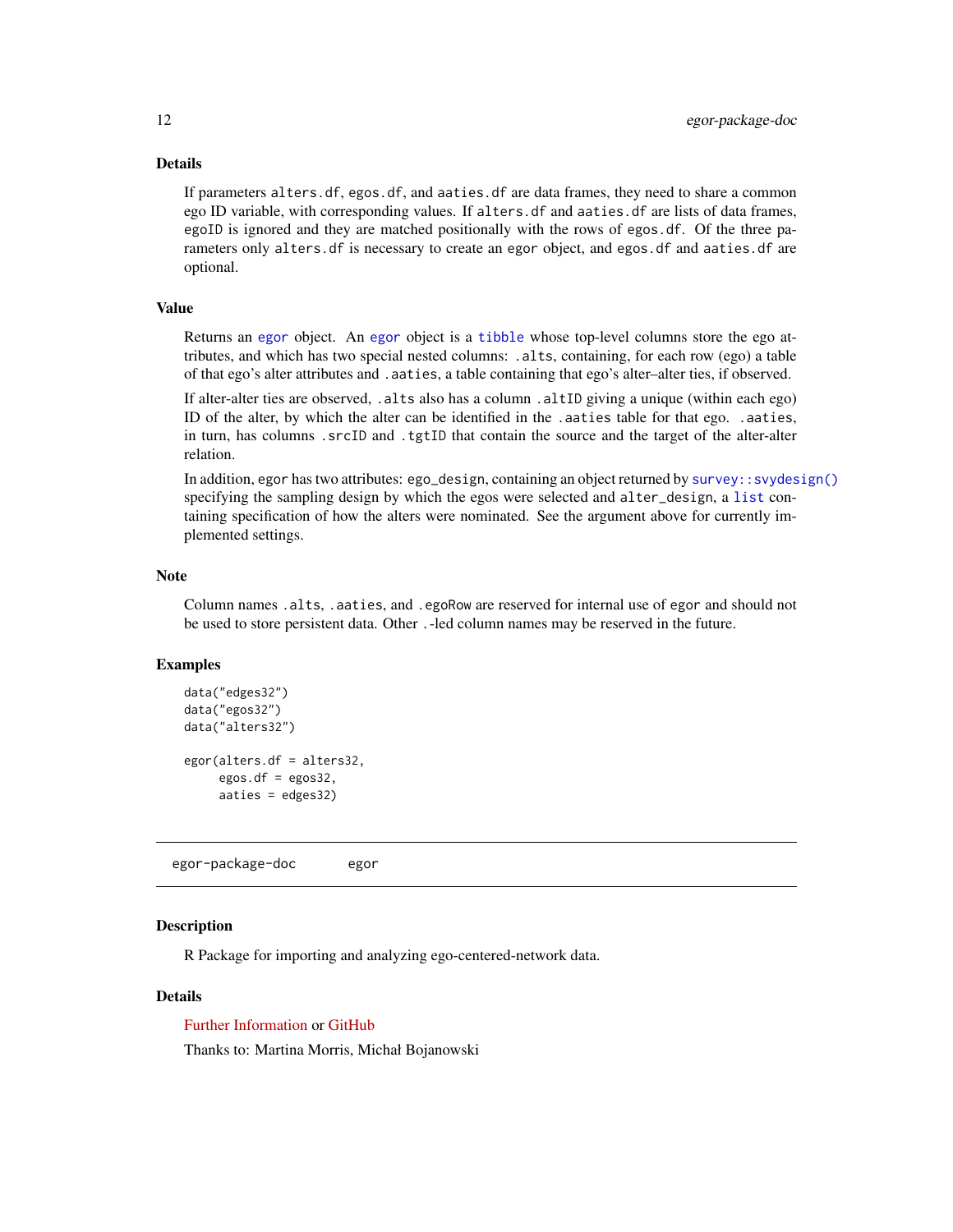## Details

If parameters alters.df, egos.df, and aaties.df are data frames, they need to share a common ego ID variable, with corresponding values. If alters.df and aaties.df are lists of data frames, egoID is ignored and they are matched positionally with the rows of egos.df. Of the three parameters only alters.df is necessary to create an egor object, and egos.df and aaties.df are optional.

#### Value

Returns an [egor](#page-10-1) object. An [egor](#page-10-1) object is a [tibble](#page-0-0) whose top-level columns store the ego attributes, and which has two special nested columns: .alts, containing, for each row (ego) a table of that ego's alter attributes and .aaties, a table containing that ego's alter–alter ties, if observed.

If alter-alter ties are observed, .alts also has a column .altID giving a unique (within each ego) ID of the alter, by which the alter can be identified in the .aaties table for that ego. .aaties, in turn, has columns .srcID and .tgtID that contain the source and the target of the alter-alter relation.

In addition, egor has two attributes: ego\_design, containing an object returned by [survey::svydesign\(\)](#page-0-0) specifying the sampling design by which the egos were selected and alter\_design, a [list](#page-0-0) containing specification of how the alters were nominated. See the argument above for currently implemented settings.

#### Note

Column names .alts, .aaties, and .egoRow are reserved for internal use of egor and should not be used to store persistent data. Other .-led column names may be reserved in the future.

#### Examples

```
data("edges32")
data("egos32")
data("alters32")
egor(alters.df = alters32,
     egos.df = egos32,aaties = edges32)
```
egor-package-doc egor

#### Description

R Package for importing and analyzing ego-centered-network data.

## Details

[Further Information](https://tilltnet.github.io/egor/) or [GitHub](https://github.com/tilltnet/egor)

Thanks to: Martina Morris, Michał Bojanowski

<span id="page-11-0"></span>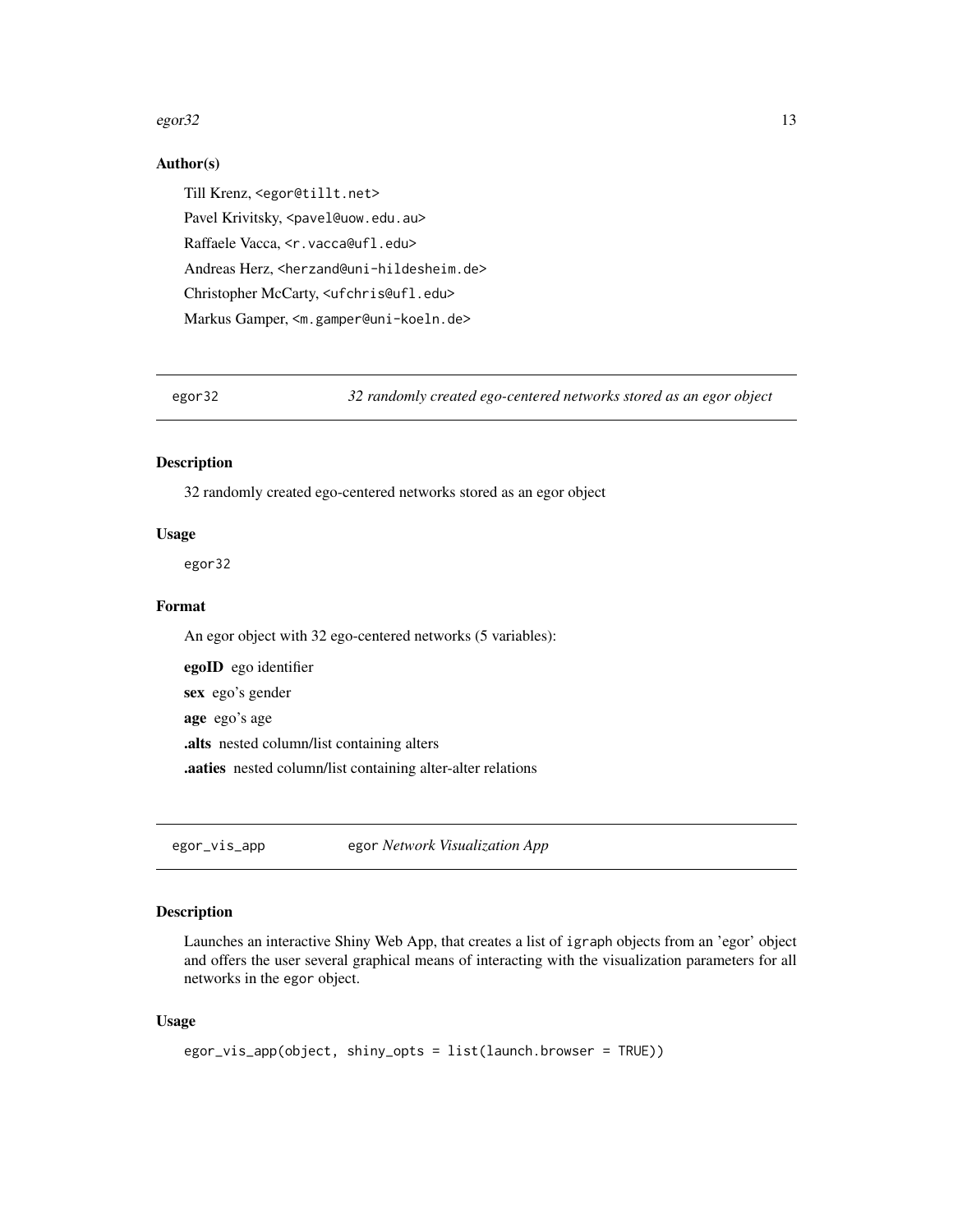#### <span id="page-12-0"></span> $\frac{13}{3}$

#### Author(s)

Till Krenz, <egor@tillt.net> Pavel Krivitsky, <pavel@uow.edu.au> Raffaele Vacca, <r.vacca@ufl.edu> Andreas Herz, <herzand@uni-hildesheim.de> Christopher McCarty, <ufchris@ufl.edu> Markus Gamper, <m.gamper@uni-koeln.de>

egor32 *32 randomly created ego-centered networks stored as an egor object*

#### Description

32 randomly created ego-centered networks stored as an egor object

#### Usage

egor32

#### Format

An egor object with 32 ego-centered networks (5 variables):

egoID ego identifier sex ego's gender age ego's age .alts nested column/list containing alters .aaties nested column/list containing alter-alter relations

egor\_vis\_app egor *Network Visualization App*

#### Description

Launches an interactive Shiny Web App, that creates a list of igraph objects from an 'egor' object and offers the user several graphical means of interacting with the visualization parameters for all networks in the egor object.

#### Usage

```
egor_vis_app(object, shiny_opts = list(launch.browser = TRUE))
```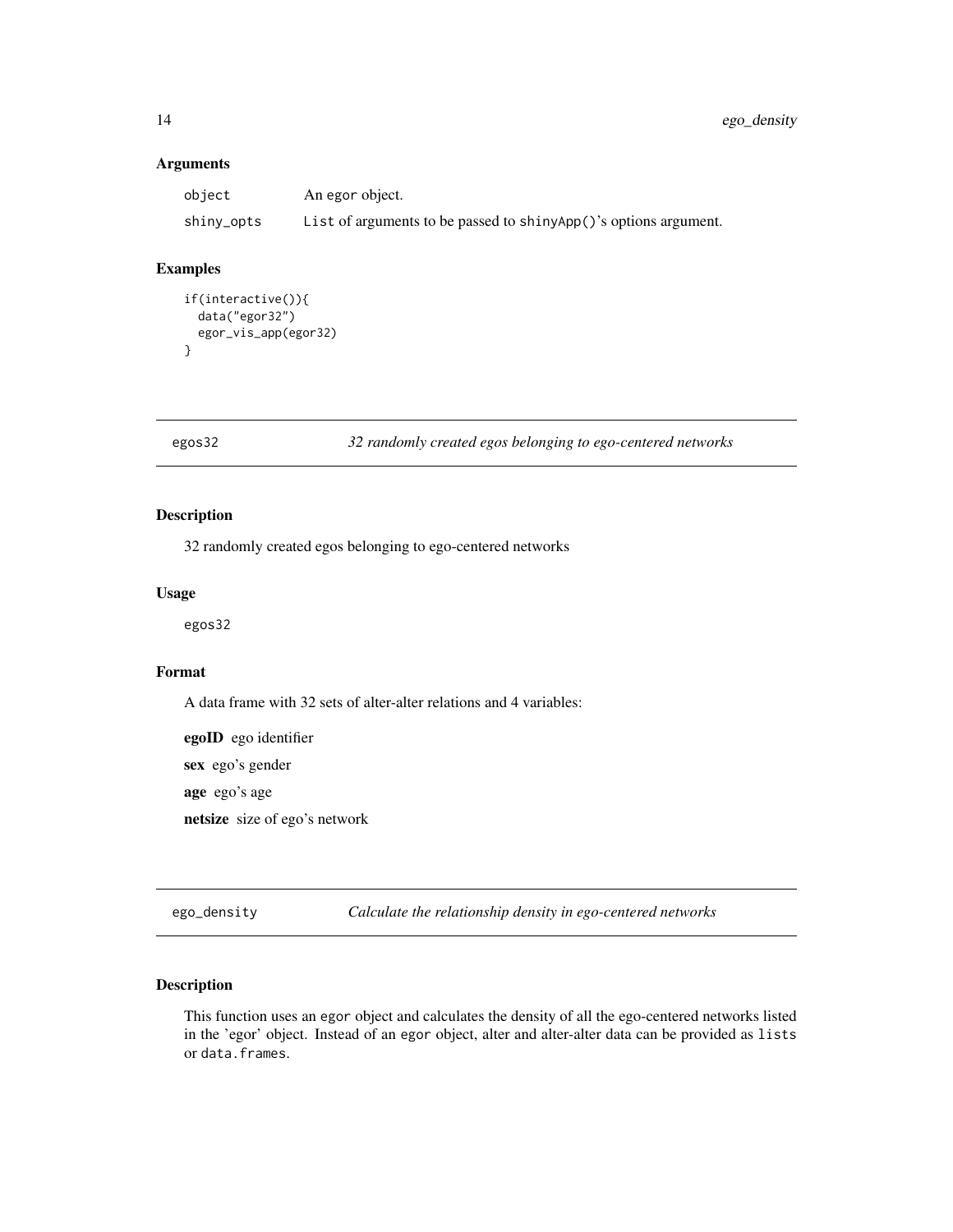## <span id="page-13-0"></span>Arguments

| object     | An egor object.                                                  |
|------------|------------------------------------------------------------------|
| shiny_opts | List of arguments to be passed to shinyApp()'s options argument. |

## Examples

```
if(interactive()){
 data("egor32")
 egor_vis_app(egor32)
}
```
egos32 *32 randomly created egos belonging to ego-centered networks*

## Description

32 randomly created egos belonging to ego-centered networks

#### Usage

egos32

## Format

A data frame with 32 sets of alter-alter relations and 4 variables:

egoID ego identifier sex ego's gender age ego's age netsize size of ego's network

ego\_density *Calculate the relationship density in ego-centered networks*

## Description

This function uses an egor object and calculates the density of all the ego-centered networks listed in the 'egor' object. Instead of an egor object, alter and alter-alter data can be provided as lists or data.frames.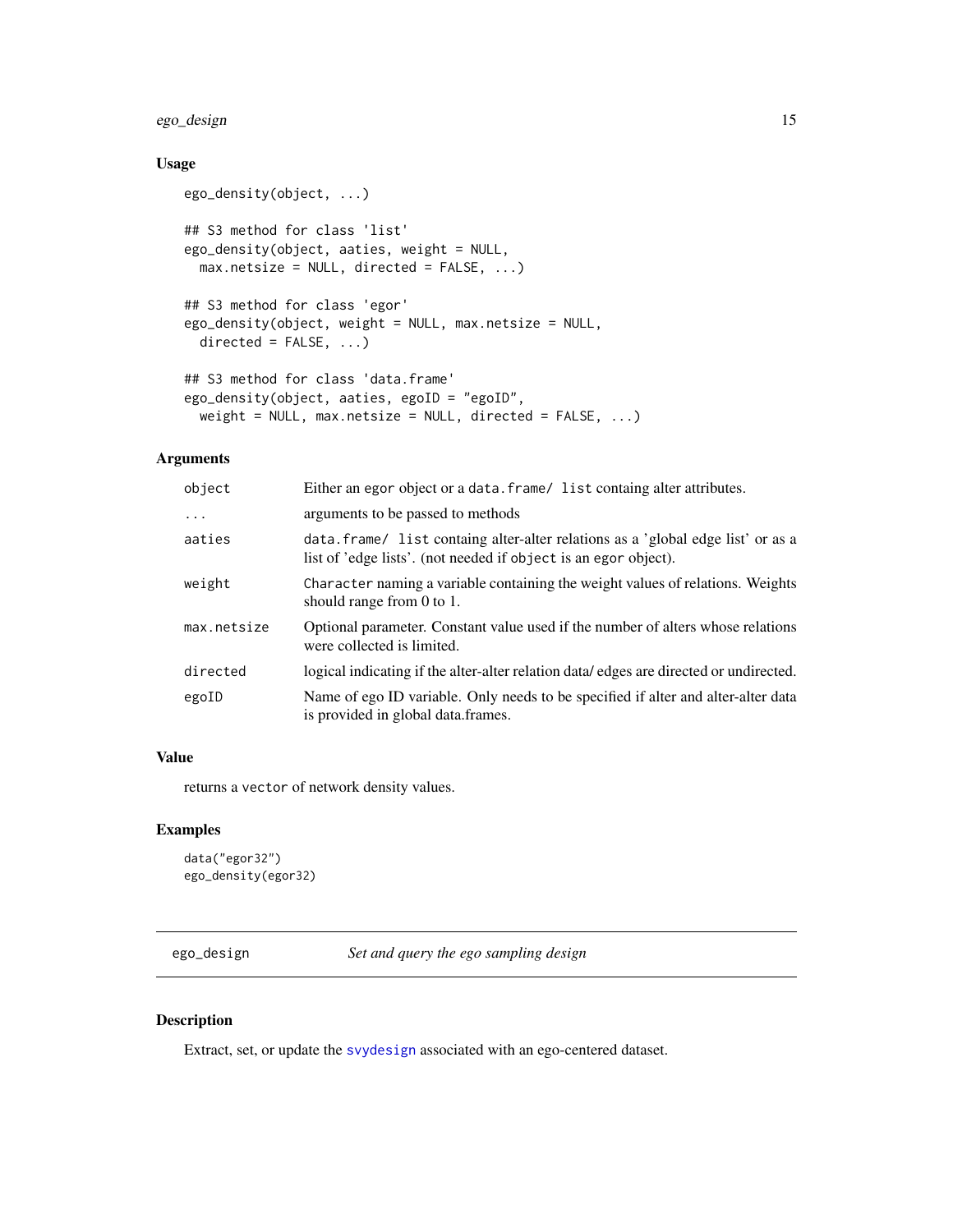## <span id="page-14-0"></span>ego\_design 15

## Usage

```
ego_density(object, ...)
## S3 method for class 'list'
ego_density(object, aaties, weight = NULL,
 max.netsize = NULL, directed = FALSE, ...)
## S3 method for class 'egor'
ego_density(object, weight = NULL, max.netsize = NULL,
 directed = FALSE, ...)## S3 method for class 'data.frame'
ego_density(object, aaties, egoID = "egoID",
 weight = NULL, max.netsize = NULL, directed = FALSE, ...)
```
#### Arguments

| object      | Either an egor object or a data. frame/ list containg alter attributes.                                                                             |
|-------------|-----------------------------------------------------------------------------------------------------------------------------------------------------|
| $\ddots$    | arguments to be passed to methods                                                                                                                   |
| aaties      | data. frame/ list containg alter-alter relations as a 'global edge list' or as a<br>list of 'edge lists'. (not needed if object is an egor object). |
| weight      | Character naming a variable containing the weight values of relations. Weights<br>should range from $0$ to $1$ .                                    |
| max.netsize | Optional parameter. Constant value used if the number of alters whose relations<br>were collected is limited.                                       |
| directed    | logical indicating if the alter-alter relation data/edges are directed or undirected.                                                               |
| egoID       | Name of ego ID variable. Only needs to be specified if alter and alter-alter data<br>is provided in global data frames.                             |

## Value

returns a vector of network density values.

## Examples

```
data("egor32")
ego_density(egor32)
```
ego\_design *Set and query the ego sampling design*

## Description

Extract, set, or update the [svydesign](#page-0-0) associated with an ego-centered dataset.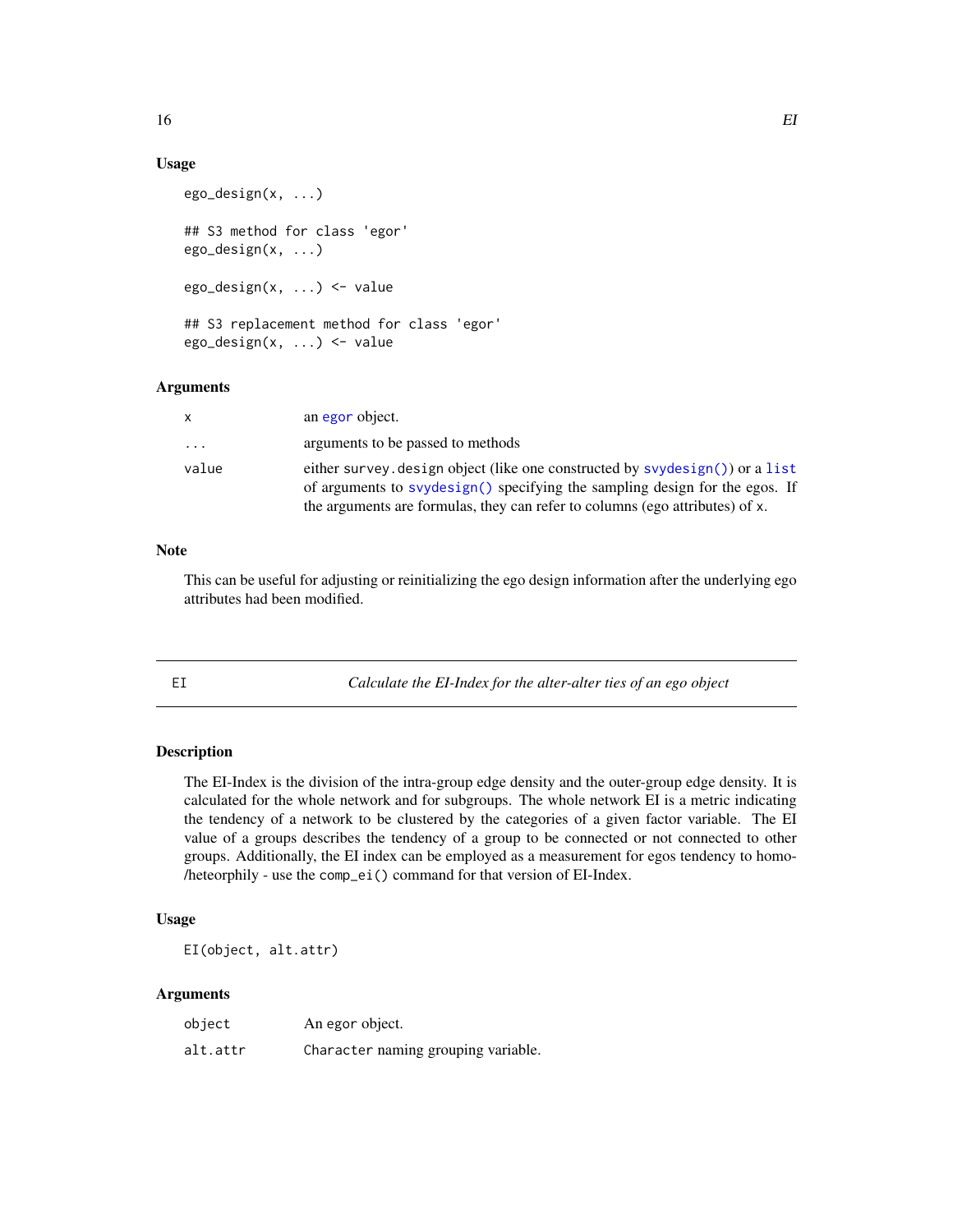## Usage

```
ego_design(x, ...)
## S3 method for class 'egor'
ego_design(x, ...)
ego_design(x, ...) <- value
## S3 replacement method for class 'egor'
ego_design(x, ...) <- value
```
## Arguments

| x     | an egor object.                                                                                                                                                                                                                             |
|-------|---------------------------------------------------------------------------------------------------------------------------------------------------------------------------------------------------------------------------------------------|
| .     | arguments to be passed to methods                                                                                                                                                                                                           |
| value | either survey, design object (like one constructed by syydesign()) or a list<br>of arguments to svydesign() specifying the sampling design for the egos. If<br>the arguments are formulas, they can refer to columns (ego attributes) of x. |

#### Note

This can be useful for adjusting or reinitializing the ego design information after the underlying ego attributes had been modified.

EI *Calculate the EI-Index for the alter-alter ties of an ego object*

## Description

The EI-Index is the division of the intra-group edge density and the outer-group edge density. It is calculated for the whole network and for subgroups. The whole network EI is a metric indicating the tendency of a network to be clustered by the categories of a given factor variable. The EI value of a groups describes the tendency of a group to be connected or not connected to other groups. Additionally, the EI index can be employed as a measurement for egos tendency to homo- /heteorphily - use the comp\_ei() command for that version of EI-Index.

#### Usage

EI(object, alt.attr)

| object   | An egor object.                     |
|----------|-------------------------------------|
| alt.attr | Character naming grouping variable. |

<span id="page-15-0"></span>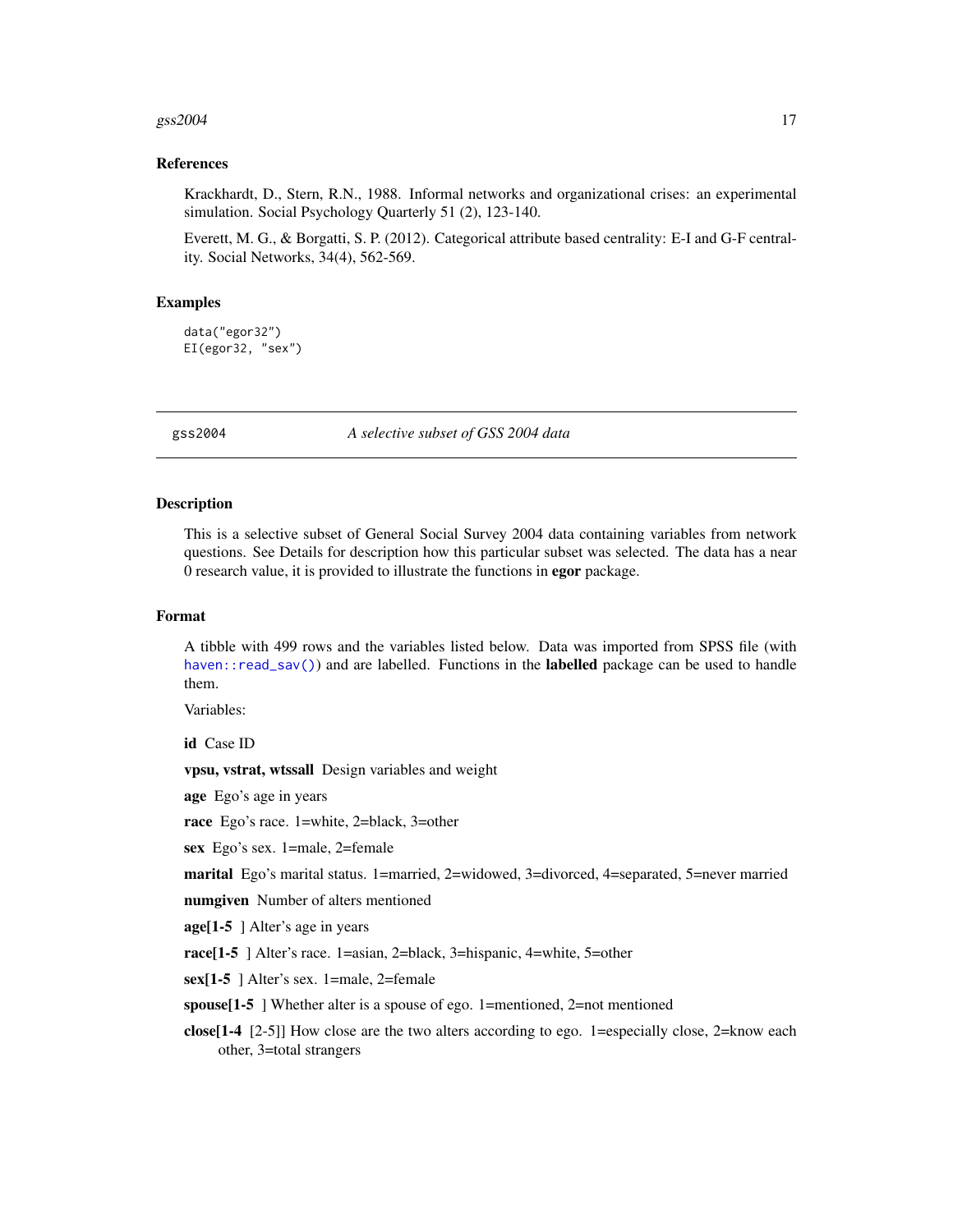#### <span id="page-16-0"></span> $gss2004$  17

#### References

Krackhardt, D., Stern, R.N., 1988. Informal networks and organizational crises: an experimental simulation. Social Psychology Quarterly 51 (2), 123-140.

Everett, M. G., & Borgatti, S. P. (2012). Categorical attribute based centrality: E-I and G-F centrality. Social Networks, 34(4), 562-569.

#### Examples

```
data("egor32")
EI(egor32, "sex")
```
gss2004 *A selective subset of GSS 2004 data*

## **Description**

This is a selective subset of General Social Survey 2004 data containing variables from network questions. See Details for description how this particular subset was selected. The data has a near 0 research value, it is provided to illustrate the functions in egor package.

#### Format

A tibble with 499 rows and the variables listed below. Data was imported from SPSS file (with haven:: $read\_sav()$  and are labelled. Functions in the **labelled** package can be used to handle them.

Variables:

id Case ID

vpsu, vstrat, wtssall Design variables and weight

age Ego's age in years

race Ego's race. 1=white, 2=black, 3=other

sex Ego's sex. 1=male, 2=female

marital Ego's marital status. 1=married, 2=widowed, 3=divorced, 4=separated, 5=never married

numgiven Number of alters mentioned

age[1-5 ] Alter's age in years

race[1-5 ] Alter's race. 1=asian, 2=black, 3=hispanic, 4=white, 5=other

sex[1-5 ] Alter's sex. 1=male, 2=female

spouse[1-5 ] Whether alter is a spouse of ego. 1=mentioned, 2=not mentioned

close[1-4 [2-5]] How close are the two alters according to ego. 1=especially close, 2=know each other, 3=total strangers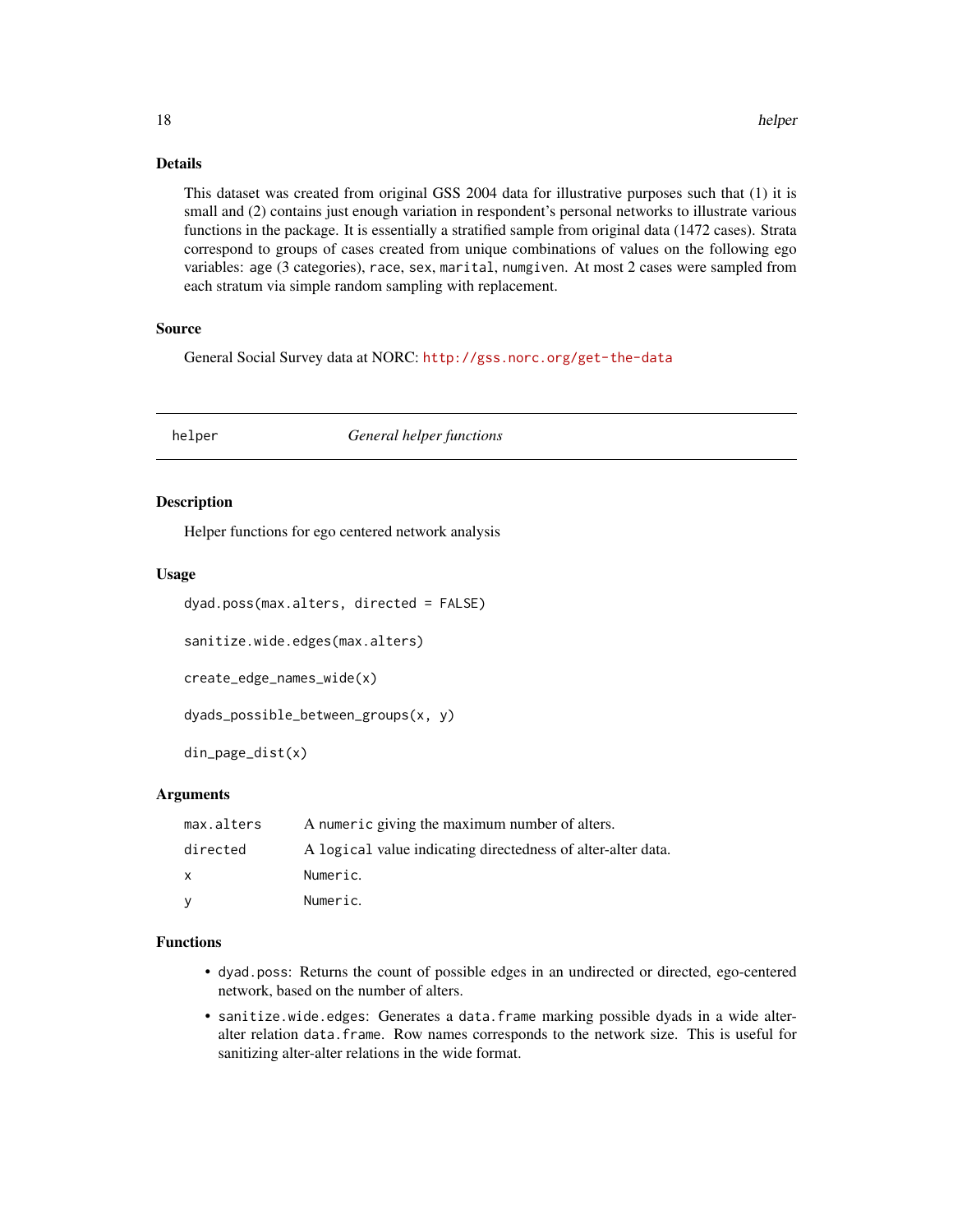## Details

This dataset was created from original GSS 2004 data for illustrative purposes such that (1) it is small and (2) contains just enough variation in respondent's personal networks to illustrate various functions in the package. It is essentially a stratified sample from original data (1472 cases). Strata correspond to groups of cases created from unique combinations of values on the following ego variables: age (3 categories), race, sex, marital, numgiven. At most 2 cases were sampled from each stratum via simple random sampling with replacement.

#### Source

General Social Survey data at NORC: <http://gss.norc.org/get-the-data>

helper *General helper functions*

#### Description

Helper functions for ego centered network analysis

#### Usage

```
dyad.poss(max.alters, directed = FALSE)
```
sanitize.wide.edges(max.alters)

create\_edge\_names\_wide(x)

dyads\_possible\_between\_groups(x, y)

din\_page\_dist(x)

### Arguments

| max.alters | A numeric giving the maximum number of alters.               |
|------------|--------------------------------------------------------------|
| directed   | A logical value indicating directedness of alter-alter data. |
| X.         | Numeric.                                                     |
| v          | Numeric.                                                     |

## Functions

- dyad.poss: Returns the count of possible edges in an undirected or directed, ego-centered network, based on the number of alters.
- sanitize.wide.edges: Generates a data.frame marking possible dyads in a wide alteralter relation data.frame. Row names corresponds to the network size. This is useful for sanitizing alter-alter relations in the wide format.

<span id="page-17-0"></span>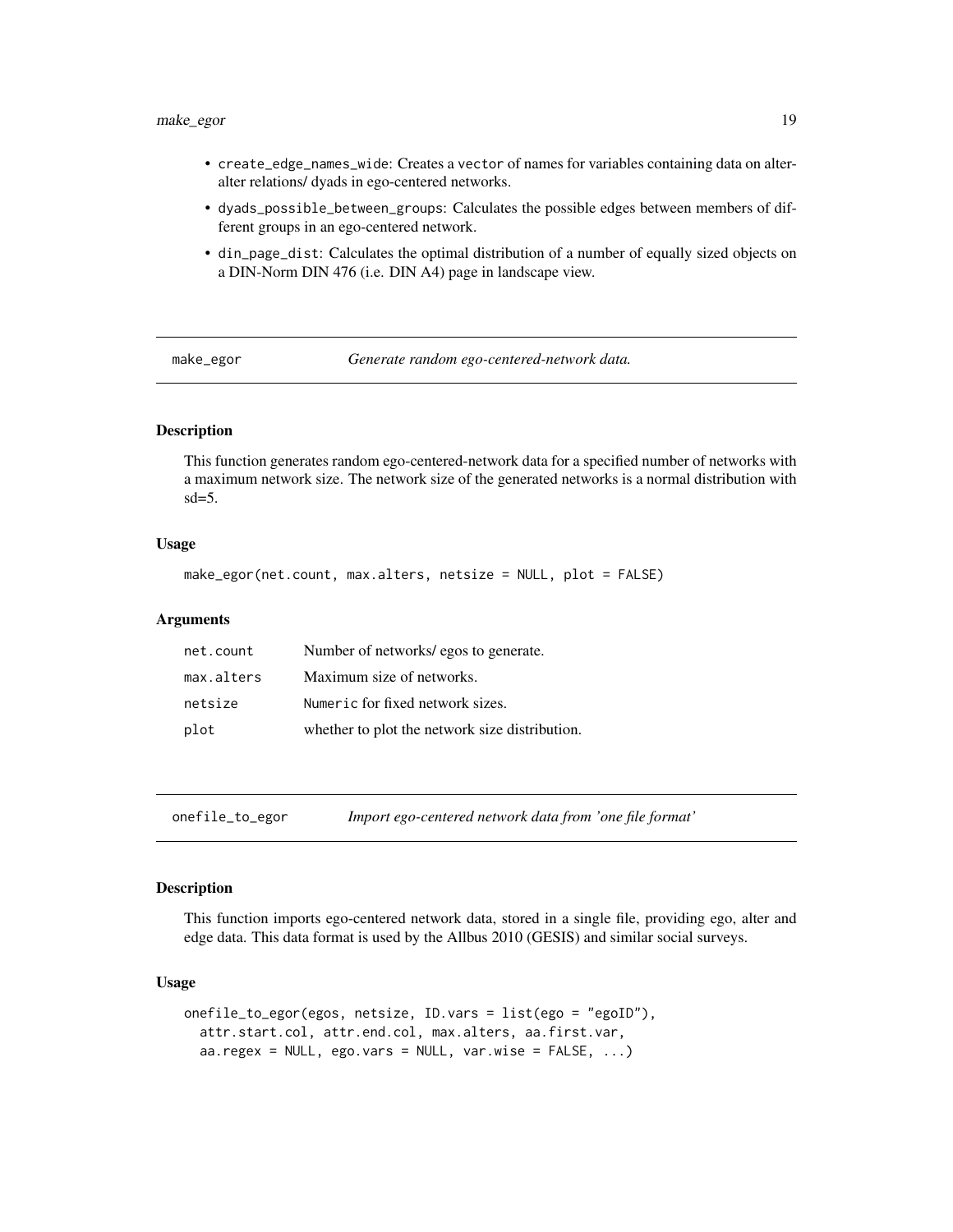## <span id="page-18-0"></span>make\_egor 19

- create\_edge\_names\_wide: Creates a vector of names for variables containing data on alteralter relations/ dyads in ego-centered networks.
- dyads\_possible\_between\_groups: Calculates the possible edges between members of different groups in an ego-centered network.
- din\_page\_dist: Calculates the optimal distribution of a number of equally sized objects on a DIN-Norm DIN 476 (i.e. DIN A4) page in landscape view.

make\_egor *Generate random ego-centered-network data.*

#### Description

This function generates random ego-centered-network data for a specified number of networks with a maximum network size. The network size of the generated networks is a normal distribution with  $sd=5$ .

#### Usage

```
make_egor(net.count, max.alters, netsize = NULL, plot = FALSE)
```
#### Arguments

| net.count  | Number of networks/egos to generate.           |
|------------|------------------------------------------------|
| max.alters | Maximum size of networks.                      |
| netsize    | Numeric for fixed network sizes.               |
| plot       | whether to plot the network size distribution. |

onefile\_to\_egor *Import ego-centered network data from 'one file format'*

#### Description

This function imports ego-centered network data, stored in a single file, providing ego, alter and edge data. This data format is used by the Allbus 2010 (GESIS) and similar social surveys.

## Usage

```
onefile_to_egor(egos, netsize, ID.vars = list(ego = "egoID"),
  attr.start.col, attr.end.col, max.alters, aa.first.var,
  aa. \text{regex} = \text{NULL}, \text{ego.}\text{vars} = \text{NULL}, \text{var.wise} = \text{FALSE}, ...
```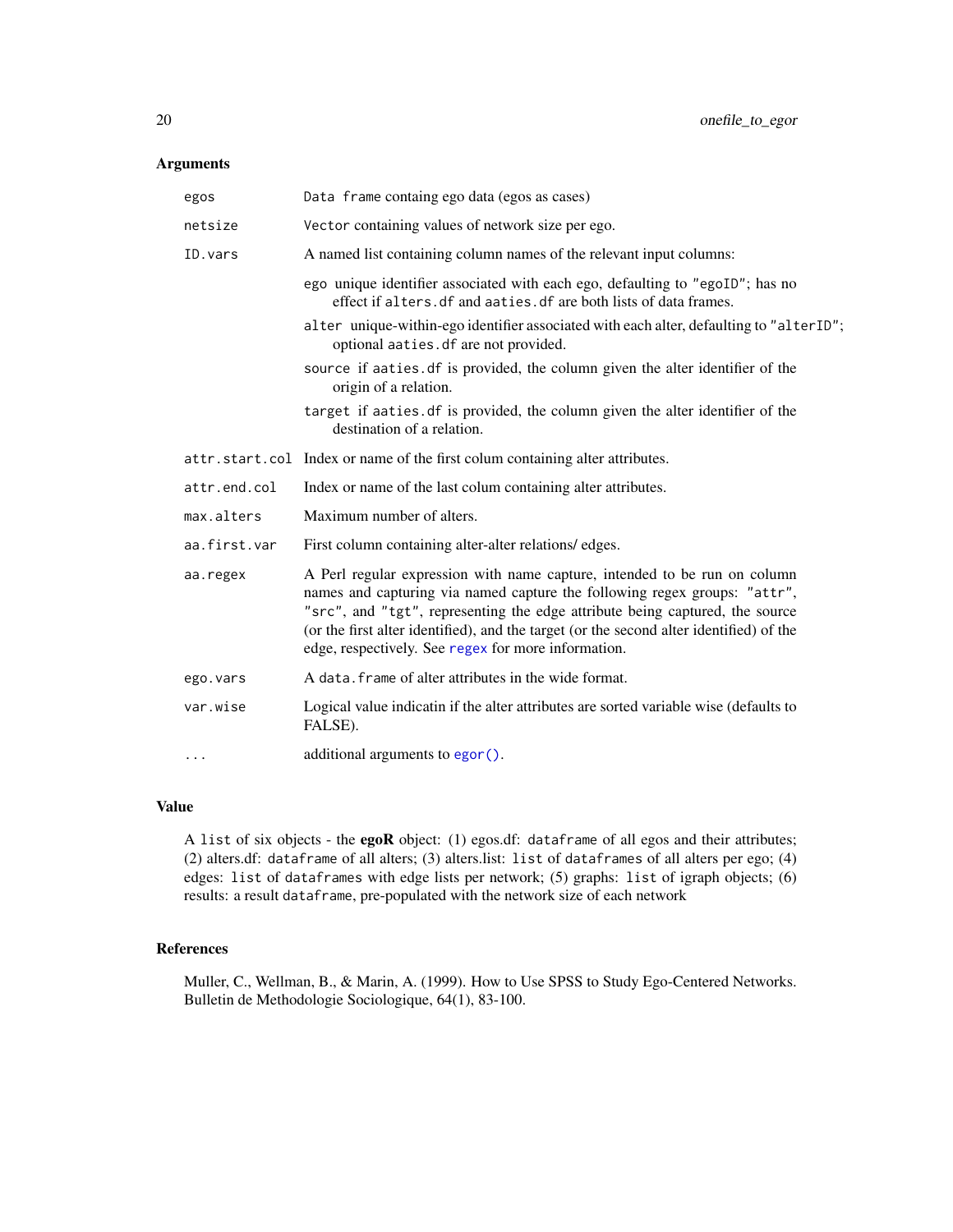## <span id="page-19-0"></span>Arguments

| egos         | Data frame containg ego data (egos as cases)                                                                                                                                                                                                                                                                                                                                             |  |
|--------------|------------------------------------------------------------------------------------------------------------------------------------------------------------------------------------------------------------------------------------------------------------------------------------------------------------------------------------------------------------------------------------------|--|
| netsize      | Vector containing values of network size per ego.                                                                                                                                                                                                                                                                                                                                        |  |
| ID. vars     | A named list containing column names of the relevant input columns:                                                                                                                                                                                                                                                                                                                      |  |
|              | ego unique identifier associated with each ego, defaulting to "egoID"; has no<br>effect if alters. df and aaties. df are both lists of data frames.                                                                                                                                                                                                                                      |  |
|              | alter unique-within-ego identifier associated with each alter, defaulting to "alterID";<br>optional aaties.df are not provided.                                                                                                                                                                                                                                                          |  |
|              | source if aaties. df is provided, the column given the alter identifier of the<br>origin of a relation.                                                                                                                                                                                                                                                                                  |  |
|              | target if aaties. df is provided, the column given the alter identifier of the<br>destination of a relation.                                                                                                                                                                                                                                                                             |  |
|              | attr.start.col Index or name of the first colum containing alter attributes.                                                                                                                                                                                                                                                                                                             |  |
| attr.end.col | Index or name of the last colum containing alter attributes.                                                                                                                                                                                                                                                                                                                             |  |
| max.alters   | Maximum number of alters.                                                                                                                                                                                                                                                                                                                                                                |  |
| aa.first.var | First column containing alter-alter relations/edges.                                                                                                                                                                                                                                                                                                                                     |  |
| aa.regex     | A Perl regular expression with name capture, intended to be run on column<br>names and capturing via named capture the following regex groups: "attr",<br>"src", and "tgt", representing the edge attribute being captured, the source<br>(or the first alter identified), and the target (or the second alter identified) of the<br>edge, respectively. See regex for more information. |  |
| ego.vars     | A data, frame of alter attributes in the wide format.                                                                                                                                                                                                                                                                                                                                    |  |
| var.wise     | Logical value indicatin if the alter attributes are sorted variable wise (defaults to<br>FALSE).                                                                                                                                                                                                                                                                                         |  |
| .            | additional arguments to egor ().                                                                                                                                                                                                                                                                                                                                                         |  |
|              |                                                                                                                                                                                                                                                                                                                                                                                          |  |

## Value

A list of six objects - the egoR object: (1) egos.df: dataframe of all egos and their attributes; (2) alters.df: dataframe of all alters; (3) alters.list: list of dataframes of all alters per ego; (4) edges: list of dataframes with edge lists per network; (5) graphs: list of igraph objects; (6) results: a result dataframe, pre-populated with the network size of each network

## References

Muller, C., Wellman, B., & Marin, A. (1999). How to Use SPSS to Study Ego-Centered Networks. Bulletin de Methodologie Sociologique, 64(1), 83-100.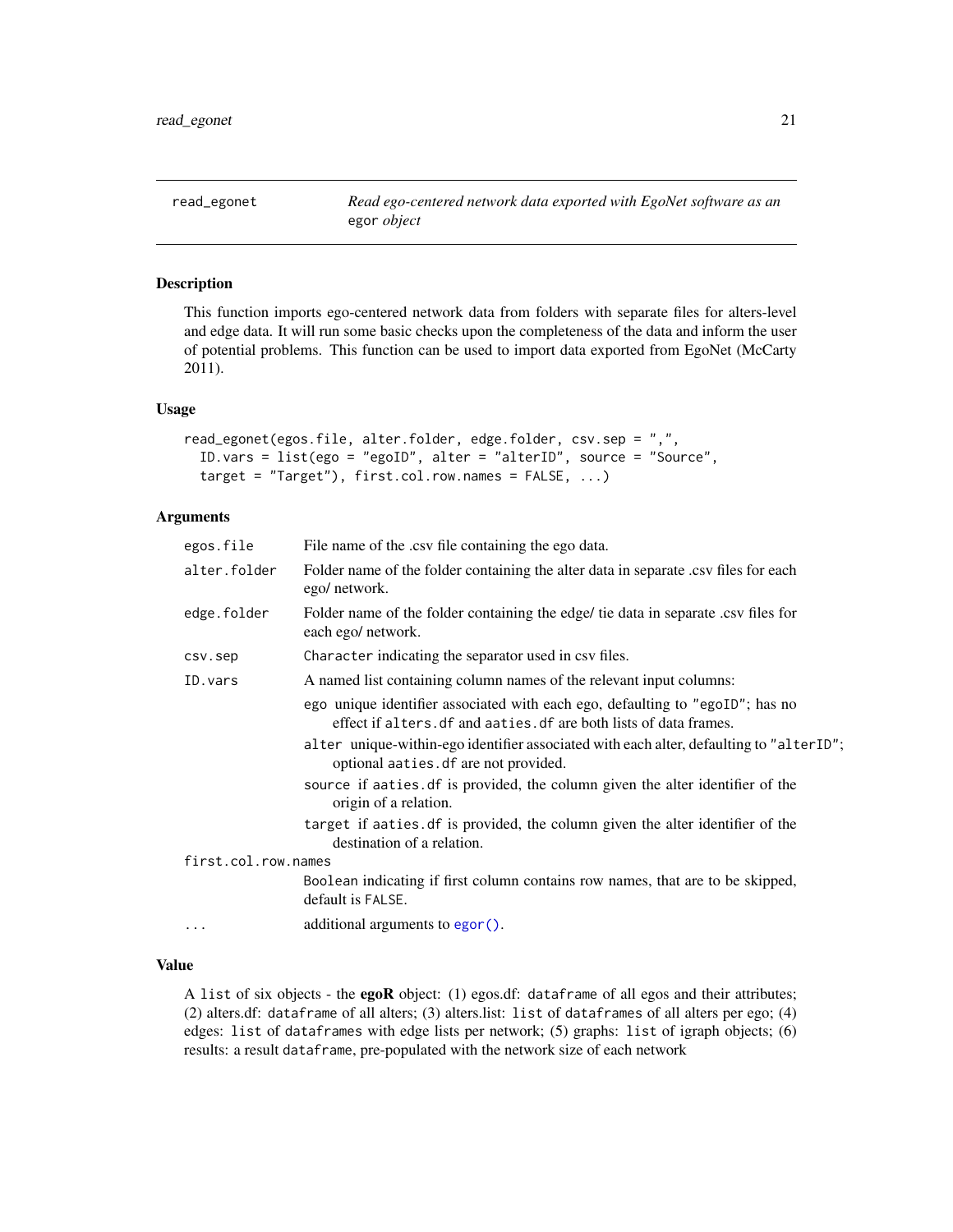<span id="page-20-0"></span>read\_egonet *Read ego-centered network data exported with EgoNet software as an* egor *object*

## Description

This function imports ego-centered network data from folders with separate files for alters-level and edge data. It will run some basic checks upon the completeness of the data and inform the user of potential problems. This function can be used to import data exported from EgoNet (McCarty 2011).

## Usage

```
read_egonet(egos.file, alter.folder, edge.folder, csv.sep = ",",
  ID.vars = list(ego = "egoID", alter = "alterID", source = "Source",
  target = "Target"), first`.col.row.names = FALSE, ...)
```
#### Arguments

| egos.file           | File name of the .csv file containing the ego data.                                                                                                 |  |
|---------------------|-----------------------------------------------------------------------------------------------------------------------------------------------------|--|
| alter.folder        | Folder name of the folder containing the alter data in separate .csv files for each<br>ego/ network.                                                |  |
| edge.folder         | Folder name of the folder containing the edge/ tie data in separate .csv files for<br>each ego/ network.                                            |  |
| csv.sep             | Character indicating the separator used in csv files.                                                                                               |  |
| ID.vars             | A named list containing column names of the relevant input columns:                                                                                 |  |
|                     | ego unique identifier associated with each ego, defaulting to "egoID"; has no<br>effect if alters. df and aaties. df are both lists of data frames. |  |
|                     | alter unique-within-ego identifier associated with each alter, defaulting to "alterID";<br>optional aaties. df are not provided.                    |  |
|                     | source if aaties. df is provided, the column given the alter identifier of the<br>origin of a relation.                                             |  |
|                     | target if aaties of is provided, the column given the alter identifier of the<br>destination of a relation.                                         |  |
| first.col.row.names |                                                                                                                                                     |  |
|                     | Boolean indicating if first column contains row names, that are to be skipped,<br>default is FALSE.                                                 |  |
|                     | additional arguments to egor().                                                                                                                     |  |
|                     |                                                                                                                                                     |  |

#### Value

A list of six objects - the egoR object: (1) egos.df: dataframe of all egos and their attributes; (2) alters.df: dataframe of all alters; (3) alters.list: list of dataframes of all alters per ego; (4) edges: list of dataframes with edge lists per network; (5) graphs: list of igraph objects; (6) results: a result dataframe, pre-populated with the network size of each network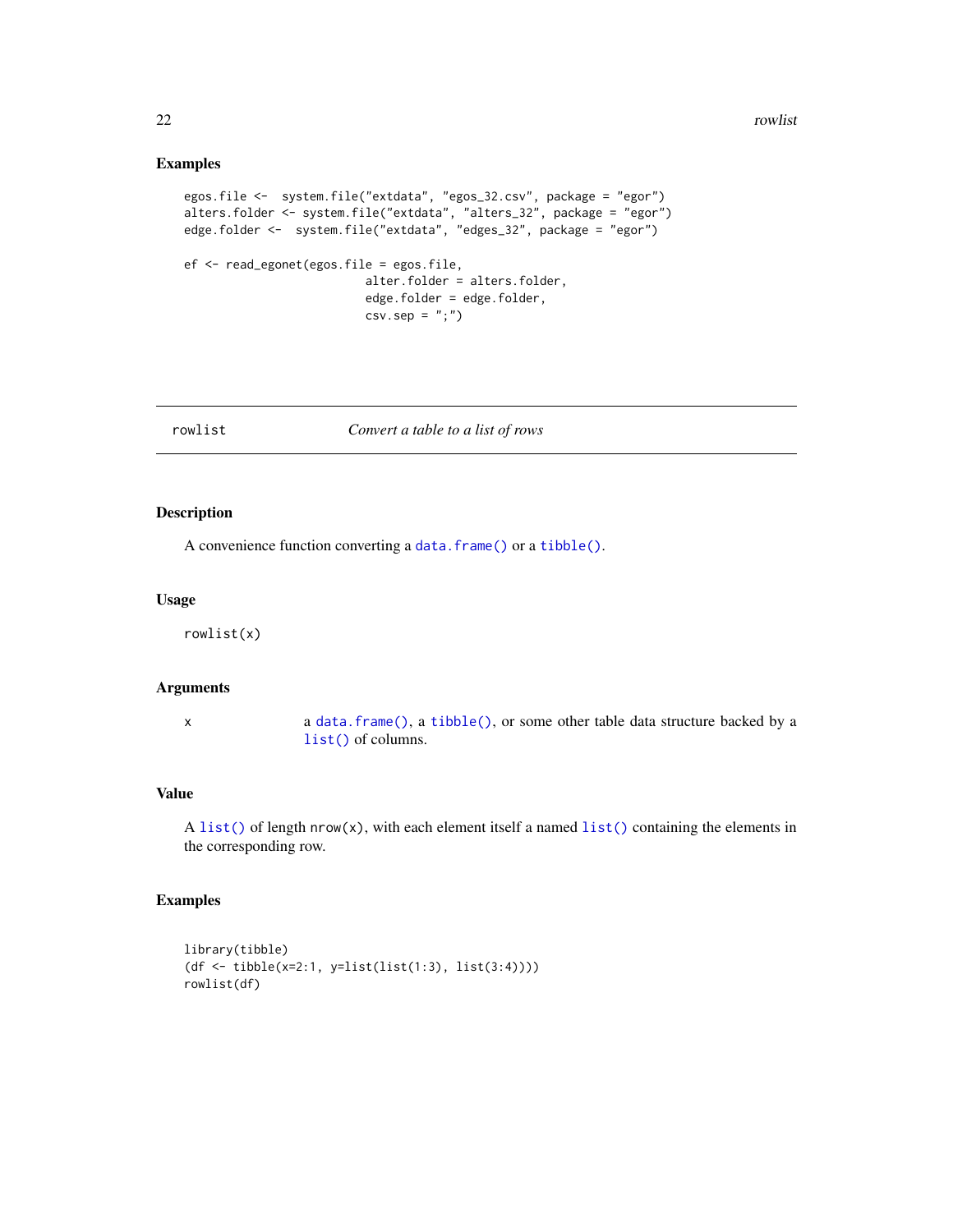## Examples

```
egos.file <- system.file("extdata", "egos_32.csv", package = "egor")
alters.folder <- system.file("extdata", "alters_32", package = "egor")
edge.folder <- system.file("extdata", "edges_32", package = "egor")
ef <- read_egonet(egos.file = egos.file,
                          alter.folder = alters.folder,
                          edge.folder = edge.folder,
                          csv.\text{sep} = ";")
```

| owlist |  |
|--------|--|
|--------|--|

#### rowlist *Convert a table to a list of rows*

#### Description

A convenience function converting a [data.frame\(\)](#page-0-0) or a [tibble\(\)](#page-0-0).

#### Usage

rowlist(x)

#### Arguments

x a [data.frame\(\)](#page-0-0), a [tibble\(\)](#page-0-0), or some other table data structure backed by a [list\(\)](#page-0-0) of columns.

#### Value

 $A list()$  $A list()$  of length nrow(x), with each element itself a named  $list()$  containing the elements in the corresponding row.

## Examples

```
library(tibble)
(df <- tibble(x=2:1, y=list(list(1:3), list(3:4))))
rowlist(df)
```
<span id="page-21-0"></span>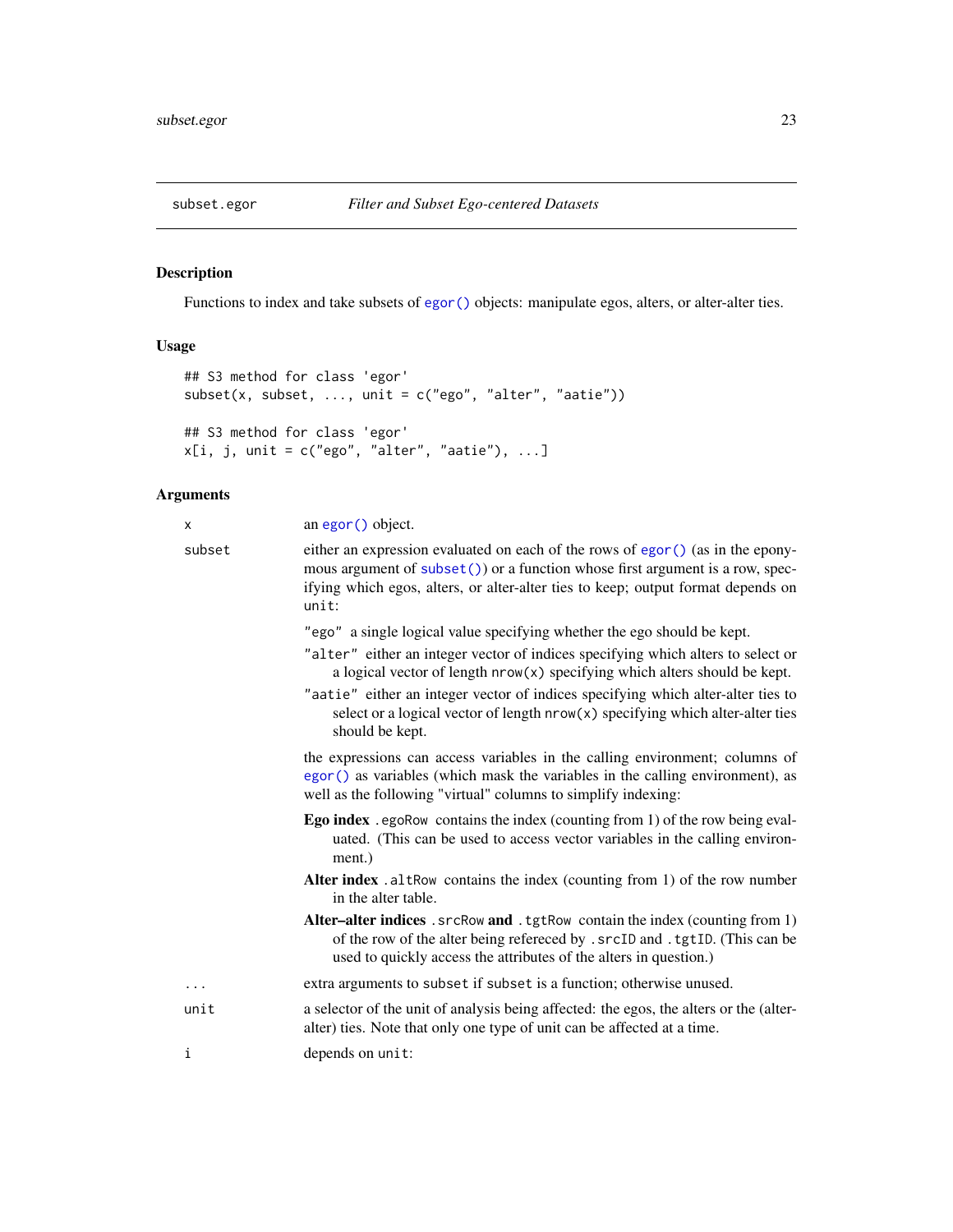<span id="page-22-0"></span>

## Description

Functions to index and take subsets of [egor\(\)](#page-10-1) objects: manipulate egos, alters, or alter-alter ties.

## Usage

```
## S3 method for class 'egor'
subset(x, subset, ..., unit = c("ego", "alter", "aatie"))
## S3 method for class 'egor'
x[i, j, unit = c("ego", "alter", "aatie"), ...]
```

| x        | an egor () object.                                                                                                                                                                                                                                             |  |
|----------|----------------------------------------------------------------------------------------------------------------------------------------------------------------------------------------------------------------------------------------------------------------|--|
| subset   | either an expression evaluated on each of the rows of egor () (as in the epony-<br>mous argument of $subset()$ or a function whose first argument is a row, spec-<br>ifying which egos, alters, or alter-alter ties to keep; output format depends on<br>unit: |  |
|          | "ego" a single logical value specifying whether the ego should be kept.                                                                                                                                                                                        |  |
|          | "alter" either an integer vector of indices specifying which alters to select or<br>a logical vector of length nrow(x) specifying which alters should be kept.                                                                                                 |  |
|          | "aatie" either an integer vector of indices specifying which alter-alter ties to<br>select or a logical vector of length $nrow(x)$ specifying which alter-alter ties<br>should be kept.                                                                        |  |
|          | the expressions can access variables in the calling environment; columns of<br>egor () as variables (which mask the variables in the calling environment), as<br>well as the following "virtual" columns to simplify indexing:                                 |  |
|          | <b>Ego index</b> . egoRow contains the index (counting from 1) of the row being eval-<br>uated. (This can be used to access vector variables in the calling environ-<br>ment.)                                                                                 |  |
|          | Alter index . altRow contains the index (counting from 1) of the row number<br>in the alter table.                                                                                                                                                             |  |
|          | Alter-alter indices . srcRow and . tgtRow contain the index (counting from 1)<br>of the row of the alter being refereced by . srcID and . tgtID. (This can be<br>used to quickly access the attributes of the alters in question.)                             |  |
| $\cdots$ | extra arguments to subset if subset is a function; otherwise unused.                                                                                                                                                                                           |  |
| unit     | a selector of the unit of analysis being affected: the egos, the alters or the (alter-<br>alter) ties. Note that only one type of unit can be affected at a time.                                                                                              |  |
| i        | depends on unit:                                                                                                                                                                                                                                               |  |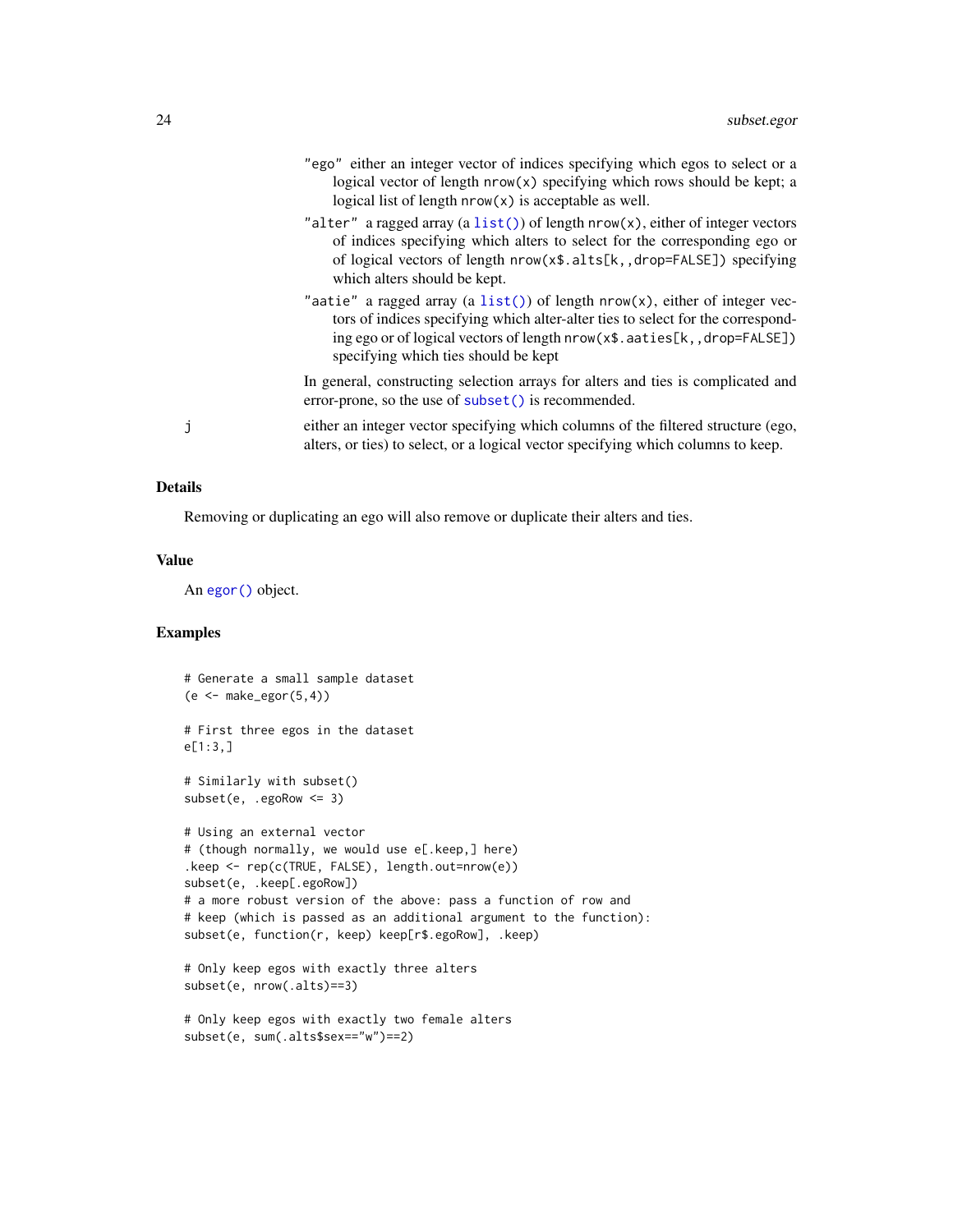- <span id="page-23-0"></span>"ego" either an integer vector of indices specifying which egos to select or a logical vector of length nrow(x) specifying which rows should be kept; a logical list of length nrow(x) is acceptable as well.
- "alter" a ragged array (a [list\(\)](#page-0-0)) of length  $nrow(x)$ , either of integer vectors of indices specifying which alters to select for the corresponding ego or of logical vectors of length nrow(x\$.alts[k,,drop=FALSE]) specifying which alters should be kept.
- "aatie" a ragged array (a [list\(\)](#page-0-0)) of length nrow(x), either of integer vectors of indices specifying which alter-alter ties to select for the corresponding ego or of logical vectors of length nrow(x\$.aaties[k,,drop=FALSE]) specifying which ties should be kept

In general, constructing selection arrays for alters and ties is complicated and error-prone, so the use of [subset\(\)](#page-0-0) is recommended.

j either an integer vector specifying which columns of the filtered structure (ego, alters, or ties) to select, or a logical vector specifying which columns to keep.

#### Details

Removing or duplicating an ego will also remove or duplicate their alters and ties.

#### Value

An [egor\(\)](#page-10-1) object.

## Examples

```
# Generate a small sample dataset
(e \leq - \text{make\_egor}(5, 4))# First three egos in the dataset
e[1:3,]
# Similarly with subset()
subset(e, .egoRow <= 3)
# Using an external vector
# (though normally, we would use e[.keep,] here)
.keep <- rep(c(TRUE, FALSE), length.out=nrow(e))
subset(e, .keep[.egoRow])
# a more robust version of the above: pass a function of row and
# keep (which is passed as an additional argument to the function):
subset(e, function(r, keep) keep[r$.egoRow], .keep)
# Only keep egos with exactly three alters
subset(e, nrow(.alts)==3)
# Only keep egos with exactly two female alters
```

```
subset(e, sum(.alts$sex=="w")==2)
```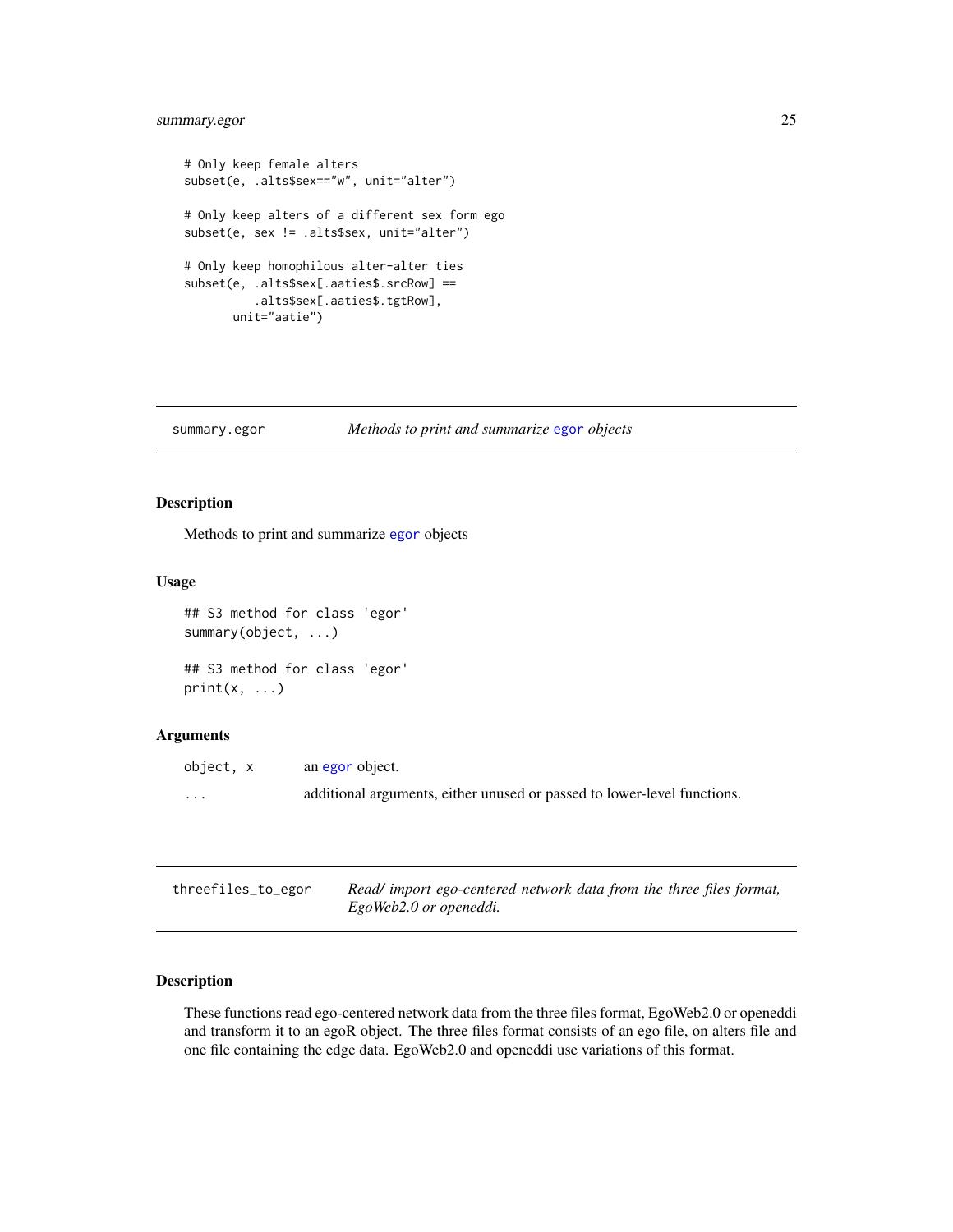## <span id="page-24-0"></span>summary.egor 25

```
# Only keep female alters
subset(e, .alts$sex=="w", unit="alter")
# Only keep alters of a different sex form ego
subset(e, sex != .alts$sex, unit="alter")
# Only keep homophilous alter-alter ties
subset(e, .alts$sex[.aaties$.srcRow] ==
          .alts$sex[.aaties$.tgtRow],
      unit="aatie")
```
summary.egor *Methods to print and summarize* [egor](#page-10-1) *objects*

## Description

Methods to print and summarize [egor](#page-10-1) objects

#### Usage

```
## S3 method for class 'egor'
summary(object, ...)
## S3 method for class 'egor'
print(x, \ldots)
```
## Arguments

| object, x | an egor object.                                                         |
|-----------|-------------------------------------------------------------------------|
| $\cdots$  | additional arguments, either unused or passed to lower-level functions. |

| threefiles_to_egor | Read/ import ego-centered network data from the three files format, |
|--------------------|---------------------------------------------------------------------|
|                    | EgoWeb2.0 or openeddi.                                              |

#### Description

These functions read ego-centered network data from the three files format, EgoWeb2.0 or openeddi and transform it to an egoR object. The three files format consists of an ego file, on alters file and one file containing the edge data. EgoWeb2.0 and openeddi use variations of this format.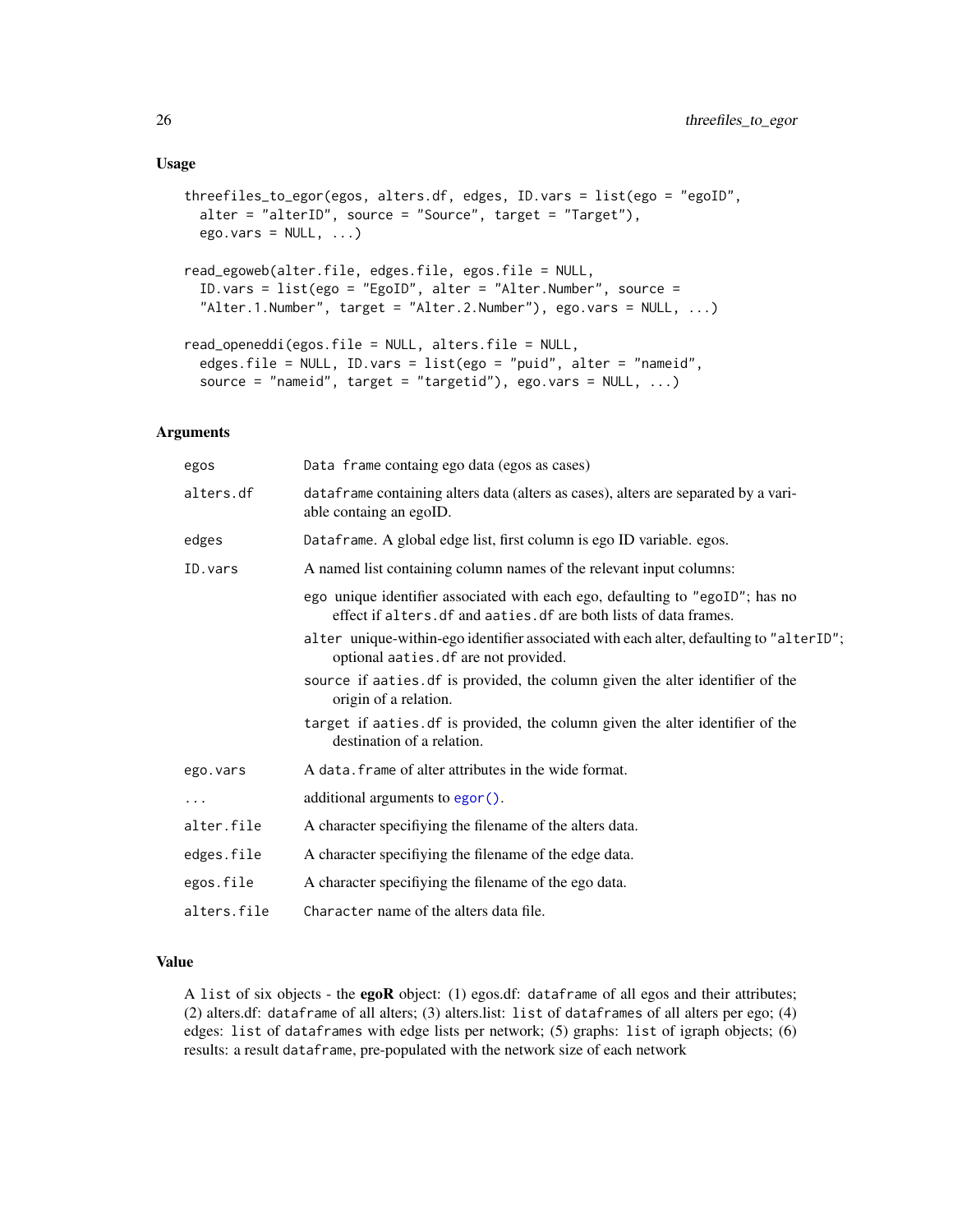```
threefiles_to_egor(egos, alters.df, edges, ID.vars = list(ego = "egoID",
 alter = "alterID", source = "Source", target = "Target"),
 ego.vars = NULL, ...)read_egoweb(alter.file, edges.file, egos.file = NULL,
  ID.vars = list(ego = "EgoID", alter = "Alter.Number", source =
  "Alter.1.Number", target = "Alter.2.Number"), ego.vars = NULL, ...)
read_openeddi(egos.file = NULL, alters.file = NULL,
  edges.file = NULL, ID.vars = list(ego = "puid", alter = "nameid",
  source = "nameid", target = "targetid"), ego.vars = NULL, ...)
```
#### Arguments

| egos        | Data frame containg ego data (egos as cases)                                                                                                        |  |
|-------------|-----------------------------------------------------------------------------------------------------------------------------------------------------|--|
| alters.df   | dataframe containing alters data (alters as cases), alters are separated by a vari-<br>able containg an egoID.                                      |  |
| edges       | Dataframe. A global edge list, first column is ego ID variable. egos.                                                                               |  |
| ID.vars     | A named list containing column names of the relevant input columns:                                                                                 |  |
|             | ego unique identifier associated with each ego, defaulting to "egoID"; has no<br>effect if alters. df and aaties. df are both lists of data frames. |  |
|             | alter unique-within-ego identifier associated with each alter, defaulting to "alterID";<br>optional aaties.df are not provided.                     |  |
|             | source if aaties. df is provided, the column given the alter identifier of the<br>origin of a relation.                                             |  |
|             | target if aaties. df is provided, the column given the alter identifier of the<br>destination of a relation.                                        |  |
| ego.vars    | A data. frame of alter attributes in the wide format.                                                                                               |  |
| .           | additional arguments to egor ().                                                                                                                    |  |
| alter.file  | A character specifiying the filename of the alters data.                                                                                            |  |
| edges.file  | A character specifiying the filename of the edge data.                                                                                              |  |
| egos.file   | A character specifiying the filename of the ego data.                                                                                               |  |
| alters.file | Character name of the alters data file.                                                                                                             |  |

## Value

A list of six objects - the egoR object: (1) egos.df: dataframe of all egos and their attributes; (2) alters.df: dataframe of all alters; (3) alters.list: list of dataframes of all alters per ego; (4) edges: list of dataframes with edge lists per network; (5) graphs: list of igraph objects; (6) results: a result dataframe, pre-populated with the network size of each network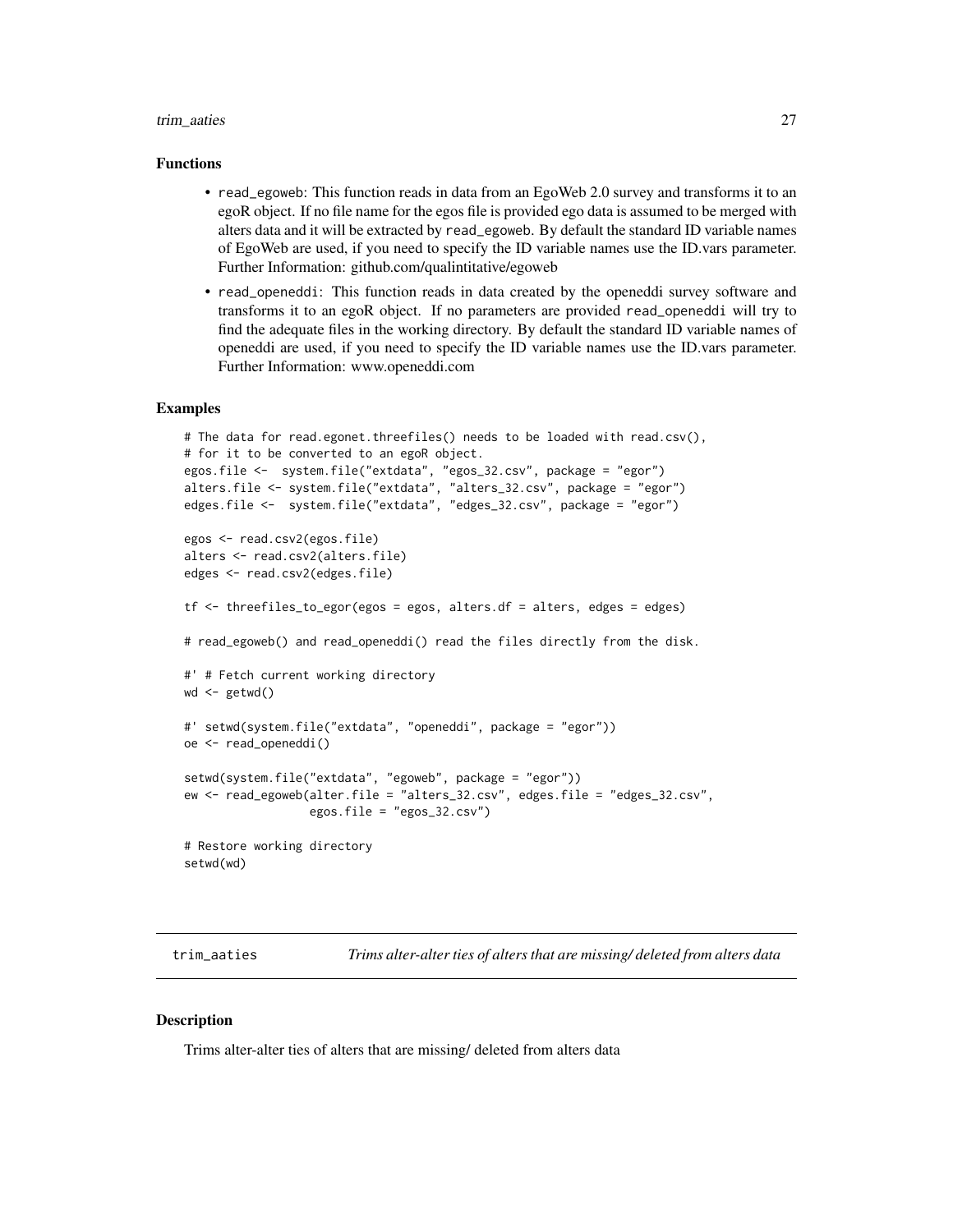#### <span id="page-26-0"></span>trim\_aaties 27

#### Functions

- read\_egoweb: This function reads in data from an EgoWeb 2.0 survey and transforms it to an egoR object. If no file name for the egos file is provided ego data is assumed to be merged with alters data and it will be extracted by read\_egoweb. By default the standard ID variable names of EgoWeb are used, if you need to specify the ID variable names use the ID.vars parameter. Further Information: github.com/qualintitative/egoweb
- read\_openeddi: This function reads in data created by the openeddi survey software and transforms it to an egoR object. If no parameters are provided read\_openeddi will try to find the adequate files in the working directory. By default the standard ID variable names of openeddi are used, if you need to specify the ID variable names use the ID.vars parameter. Further Information: www.openeddi.com

#### Examples

```
# The data for read.egonet.threefiles() needs to be loaded with read.csv(),
# for it to be converted to an egoR object.
egos.file <- system.file("extdata", "egos_32.csv", package = "egor")
alters.file <- system.file("extdata", "alters_32.csv", package = "egor")
edges.file <- system.file("extdata", "edges_32.csv", package = "egor")
egos <- read.csv2(egos.file)
alters <- read.csv2(alters.file)
edges <- read.csv2(edges.file)
tf <- threefiles_to_egor(egos = egos, alters.df = alters, edges = edges)
# read_egoweb() and read_openeddi() read the files directly from the disk.
#' # Fetch current working directory
wd < - getwd()
#' setwd(system.file("extdata", "openeddi", package = "egor"))
oe <- read_openeddi()
setwd(system.file("extdata", "egoweb", package = "egor"))
ew <- read_egoweb(alter.file = "alters_32.csv", edges.file = "edges_32.csv",
                  egos.file = "egos_32.csv")
# Restore working directory
setwd(wd)
```
trim\_aaties *Trims alter-alter ties of alters that are missing/ deleted from alters data*

#### **Description**

Trims alter-alter ties of alters that are missing/ deleted from alters data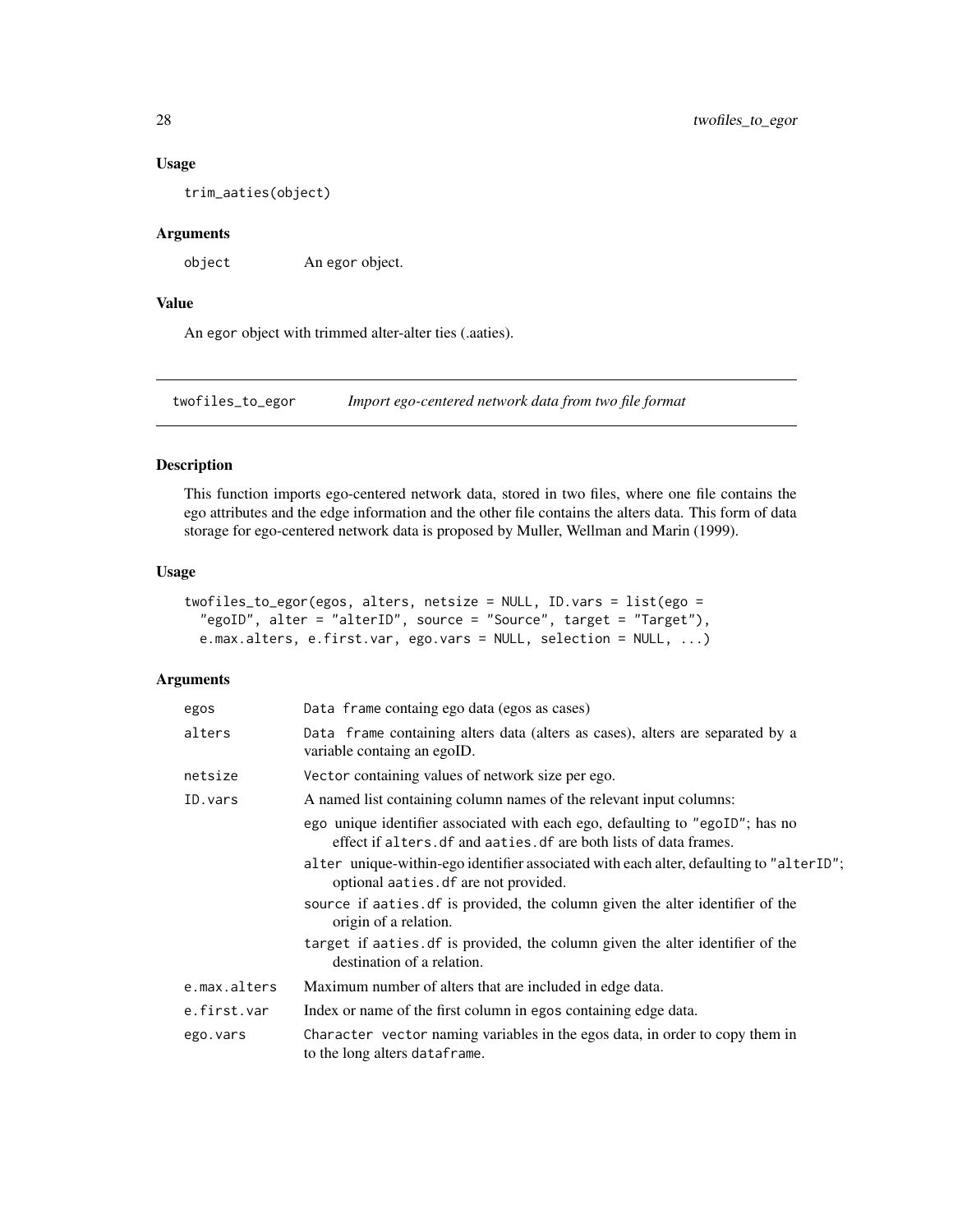## Usage

trim\_aaties(object)

### Arguments

object An egor object.

## Value

An egor object with trimmed alter-alter ties (.aaties).

twofiles\_to\_egor *Import ego-centered network data from two file format*

#### Description

This function imports ego-centered network data, stored in two files, where one file contains the ego attributes and the edge information and the other file contains the alters data. This form of data storage for ego-centered network data is proposed by Muller, Wellman and Marin (1999).

#### Usage

```
twofiles_to_egor(egos, alters, netsize = NULL, ID.vars = list(ego =
  "egoID", alter = "alterID", source = "Source", target = "Target"),
 e.max.alters, e.first.var, ego.vars = NULL, selection = NULL, ...)
```

| egos                                                                                                                      | Data frame containg ego data (egos as cases)                                                                                                        |  |
|---------------------------------------------------------------------------------------------------------------------------|-----------------------------------------------------------------------------------------------------------------------------------------------------|--|
| alters                                                                                                                    | Data frame containing alters data (alters as cases), alters are separated by a<br>variable containg an egoID.                                       |  |
| netsize                                                                                                                   | Vector containing values of network size per ego.                                                                                                   |  |
| ID.vars                                                                                                                   | A named list containing column names of the relevant input columns:                                                                                 |  |
|                                                                                                                           | ego unique identifier associated with each ego, defaulting to "egoID"; has no<br>effect if alters. df and aaties. df are both lists of data frames. |  |
|                                                                                                                           | alter unique-within-ego identifier associated with each alter, defaulting to "alterID";<br>optional aaties. df are not provided.                    |  |
|                                                                                                                           | source if aaties of is provided, the column given the alter identifier of the<br>origin of a relation.                                              |  |
|                                                                                                                           | target if aaties of is provided, the column given the alter identifier of the<br>destination of a relation.                                         |  |
| e.max.alters                                                                                                              | Maximum number of alters that are included in edge data.                                                                                            |  |
| e.first.var                                                                                                               | Index or name of the first column in egos containing edge data.                                                                                     |  |
| Character vector naming variables in the egos data, in order to copy them in<br>ego.vars<br>to the long alters dataframe. |                                                                                                                                                     |  |

<span id="page-27-0"></span>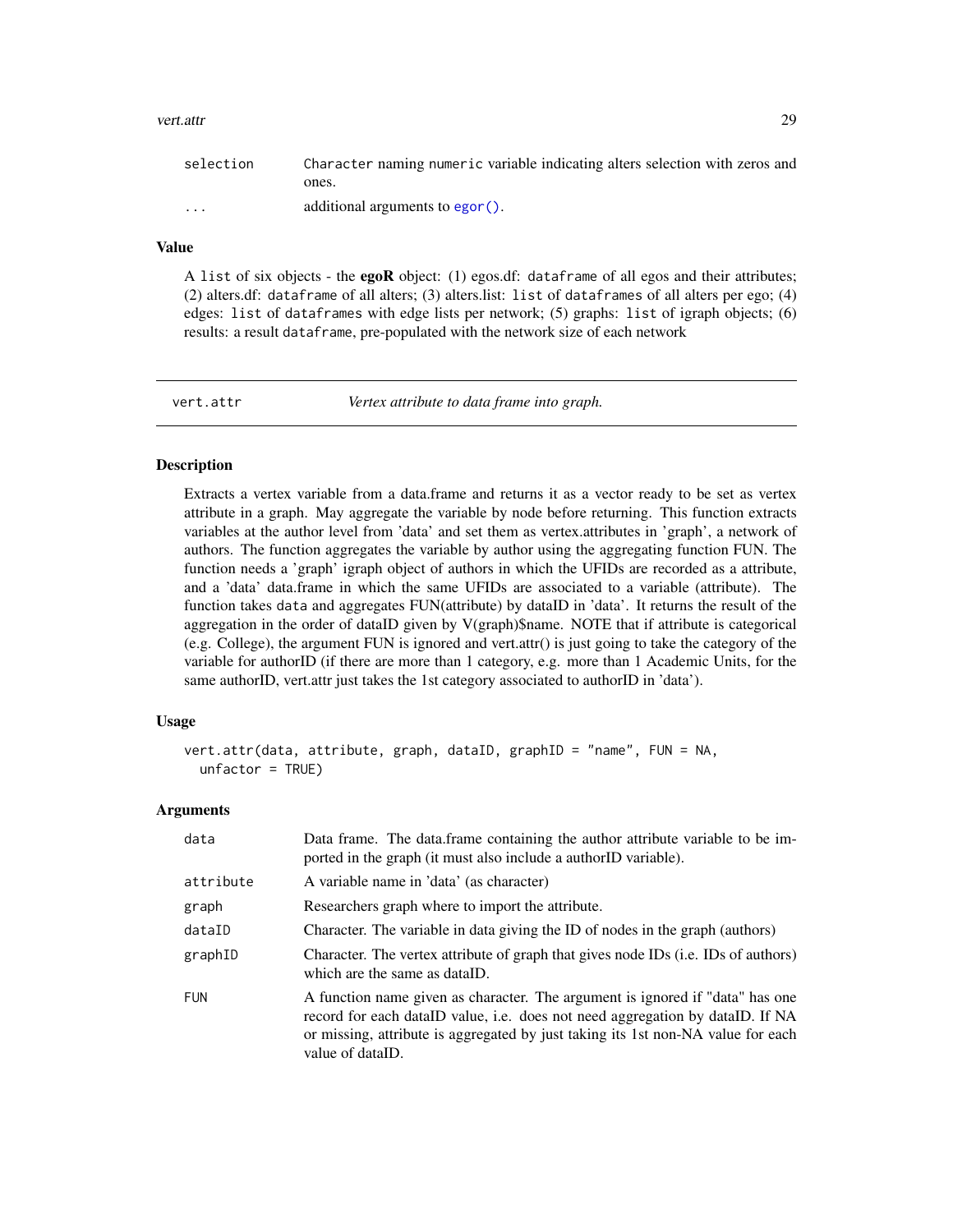#### <span id="page-28-0"></span>vert.attr 29

| selection               | Character naming numeric variable indicating alters selection with zeros and |
|-------------------------|------------------------------------------------------------------------------|
|                         | ones.                                                                        |
| $\cdot$ $\cdot$ $\cdot$ | additional arguments to egor ().                                             |

## Value

A list of six objects - the egoR object: (1) egos.df: dataframe of all egos and their attributes; (2) alters.df: dataframe of all alters; (3) alters.list: list of dataframes of all alters per ego; (4) edges: list of dataframes with edge lists per network; (5) graphs: list of igraph objects; (6) results: a result dataframe, pre-populated with the network size of each network

<span id="page-28-1"></span>

vert.attr *Vertex attribute to data frame into graph.*

#### Description

Extracts a vertex variable from a data.frame and returns it as a vector ready to be set as vertex attribute in a graph. May aggregate the variable by node before returning. This function extracts variables at the author level from 'data' and set them as vertex.attributes in 'graph', a network of authors. The function aggregates the variable by author using the aggregating function FUN. The function needs a 'graph' igraph object of authors in which the UFIDs are recorded as a attribute, and a 'data' data.frame in which the same UFIDs are associated to a variable (attribute). The function takes data and aggregates FUN(attribute) by dataID in 'data'. It returns the result of the aggregation in the order of dataID given by V(graph)\$name. NOTE that if attribute is categorical (e.g. College), the argument FUN is ignored and vert.attr() is just going to take the category of the variable for authorID (if there are more than 1 category, e.g. more than 1 Academic Units, for the same authorID, vert.attr just takes the 1st category associated to authorID in 'data').

#### Usage

```
vert.attr(data, attribute, graph, dataID, graphID = "name", FUN = NA,
 unfactor = TRUE)
```

| data       | Data frame. The data frame containing the author attribute variable to be im-<br>ported in the graph (it must also include a authorID variable).                                                                                                                       |
|------------|------------------------------------------------------------------------------------------------------------------------------------------------------------------------------------------------------------------------------------------------------------------------|
| attribute  | A variable name in 'data' (as character)                                                                                                                                                                                                                               |
| graph      | Researchers graph where to import the attribute.                                                                                                                                                                                                                       |
| dataID     | Character. The variable in data giving the ID of nodes in the graph (authors)                                                                                                                                                                                          |
| graphID    | Character. The vertex attribute of graph that gives node IDs (i.e. IDs of authors)<br>which are the same as dataID.                                                                                                                                                    |
| <b>FUN</b> | A function name given as character. The argument is ignored if "data" has one<br>record for each dataID value, i.e. does not need aggregation by dataID. If NA<br>or missing, attribute is aggregated by just taking its 1st non-NA value for each<br>value of dataID. |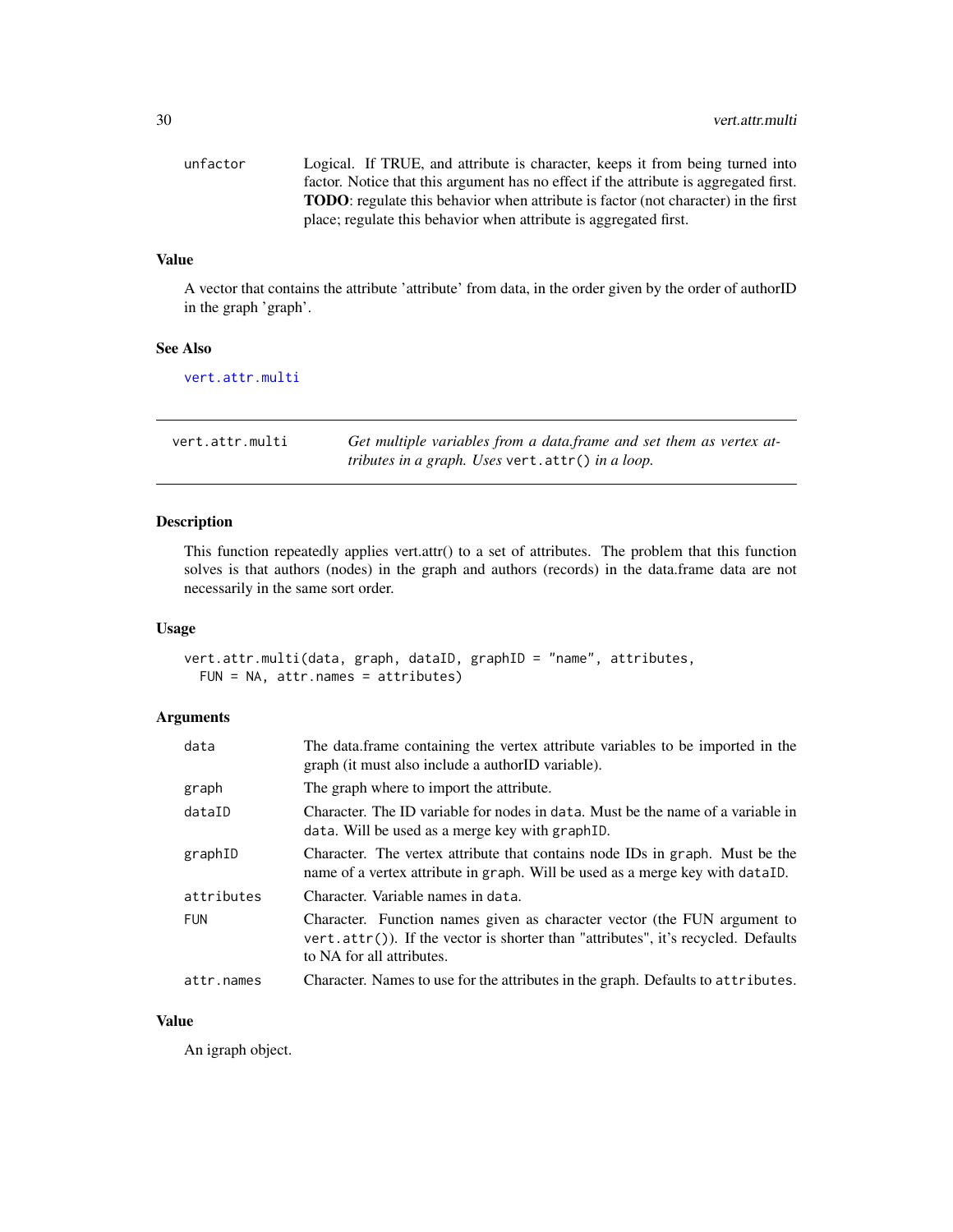<span id="page-29-0"></span>

| unfactor | Logical. If TRUE, and attribute is character, keeps it from being turned into              |
|----------|--------------------------------------------------------------------------------------------|
|          | factor. Notice that this argument has no effect if the attribute is aggregated first.      |
|          | <b>TODO</b> : regulate this behavior when attribute is factor (not character) in the first |
|          | place; regulate this behavior when attribute is aggregated first.                          |

#### Value

A vector that contains the attribute 'attribute' from data, in the order given by the order of authorID in the graph 'graph'.

#### See Also

[vert.attr.multi](#page-29-1)

<span id="page-29-1"></span>

| vert.attr.multi | Get multiple variables from a data frame and set them as vertex at- |
|-----------------|---------------------------------------------------------------------|
|                 | <i>tributes in a graph. Uses vert.attr() in a loop.</i>             |

## Description

This function repeatedly applies vert.attr() to a set of attributes. The problem that this function solves is that authors (nodes) in the graph and authors (records) in the data.frame data are not necessarily in the same sort order.

#### Usage

```
vert.attr.multi(data, graph, dataID, graphID = "name", attributes,
 FUN = NA, attr.names = attributes)
```
## Arguments

| data       | The data frame containing the vertex attribute variables to be imported in the<br>graph (it must also include a authorID variable).                                                        |
|------------|--------------------------------------------------------------------------------------------------------------------------------------------------------------------------------------------|
| graph      | The graph where to import the attribute.                                                                                                                                                   |
| dataID     | Character. The ID variable for nodes in data. Must be the name of a variable in<br>data. Will be used as a merge key with graph ID.                                                        |
| graphID    | Character. The vertex attribute that contains node IDs in graph. Must be the<br>name of a vertex attribute in graph. Will be used as a merge key with dataID.                              |
| attributes | Character. Variable names in data.                                                                                                                                                         |
| <b>FUN</b> | Character. Function names given as character vector (the FUN argument to<br>vert.attr()). If the vector is shorter than "attributes", it's recycled. Defaults<br>to NA for all attributes. |
| attr.names | Character. Names to use for the attributes in the graph. Defaults to attributes.                                                                                                           |

## Value

An igraph object.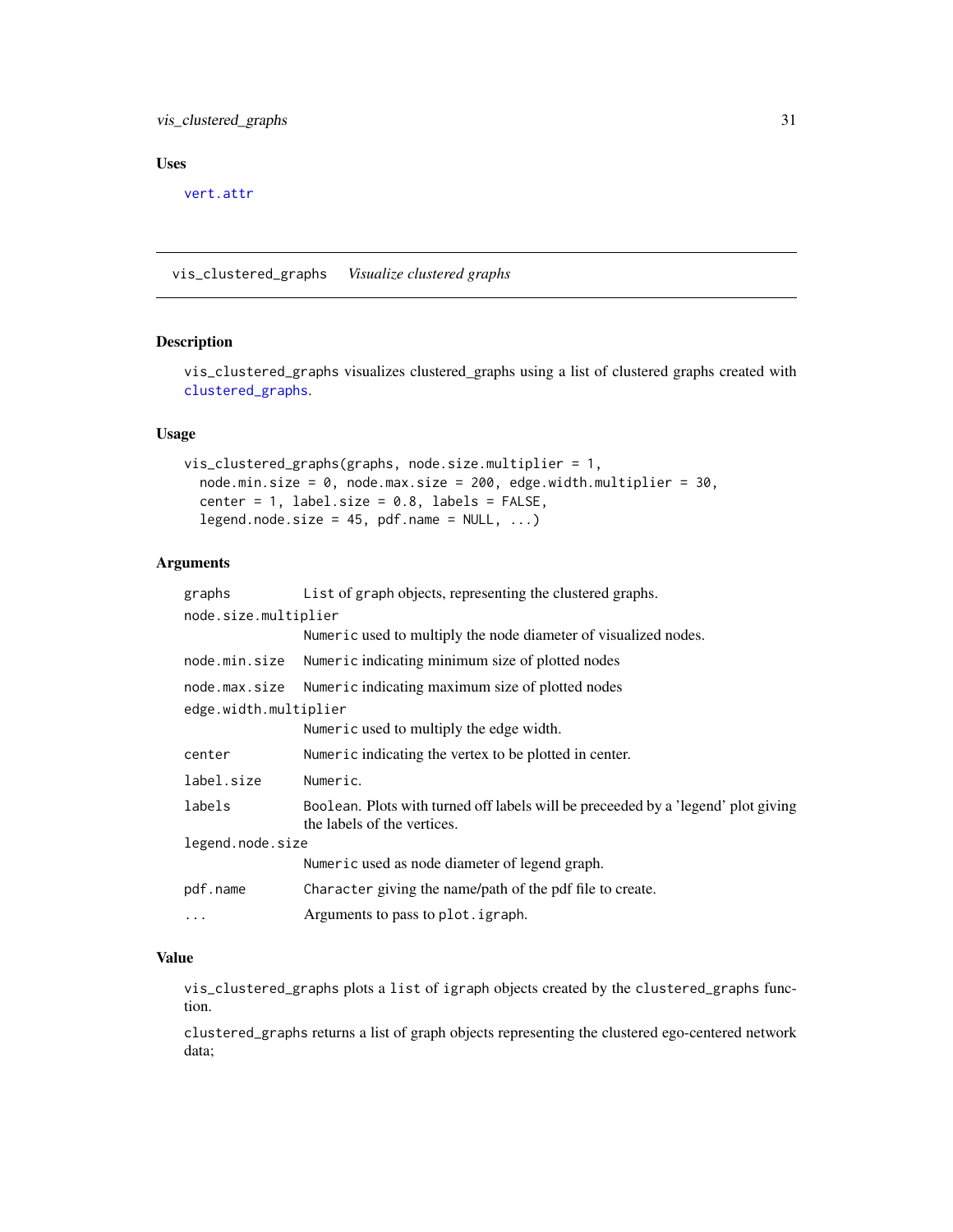## <span id="page-30-0"></span>vis\_clustered\_graphs 31

## Uses

[vert.attr](#page-28-1)

<span id="page-30-1"></span>vis\_clustered\_graphs *Visualize clustered graphs*

## Description

vis\_clustered\_graphs visualizes clustered\_graphs using a list of clustered graphs created with [clustered\\_graphs](#page-5-1).

#### Usage

```
vis_clustered_graphs(graphs, node.size.multiplier = 1,
  node.min.size = 0, node.max.size = 200, edge.width.multiplier = 30,
  center = 1, label.size = 0.8, labels = FALSE,
  legend.node.size = 45, pdf.name = NULL, ...)
```
## Arguments

| Boolean. Plots with turned off labels will be preceeded by a 'legend' plot giving |
|-----------------------------------------------------------------------------------|
|                                                                                   |
|                                                                                   |
|                                                                                   |
|                                                                                   |
|                                                                                   |

## Value

vis\_clustered\_graphs plots a list of igraph objects created by the clustered\_graphs function.

clustered\_graphs returns a list of graph objects representing the clustered ego-centered network data;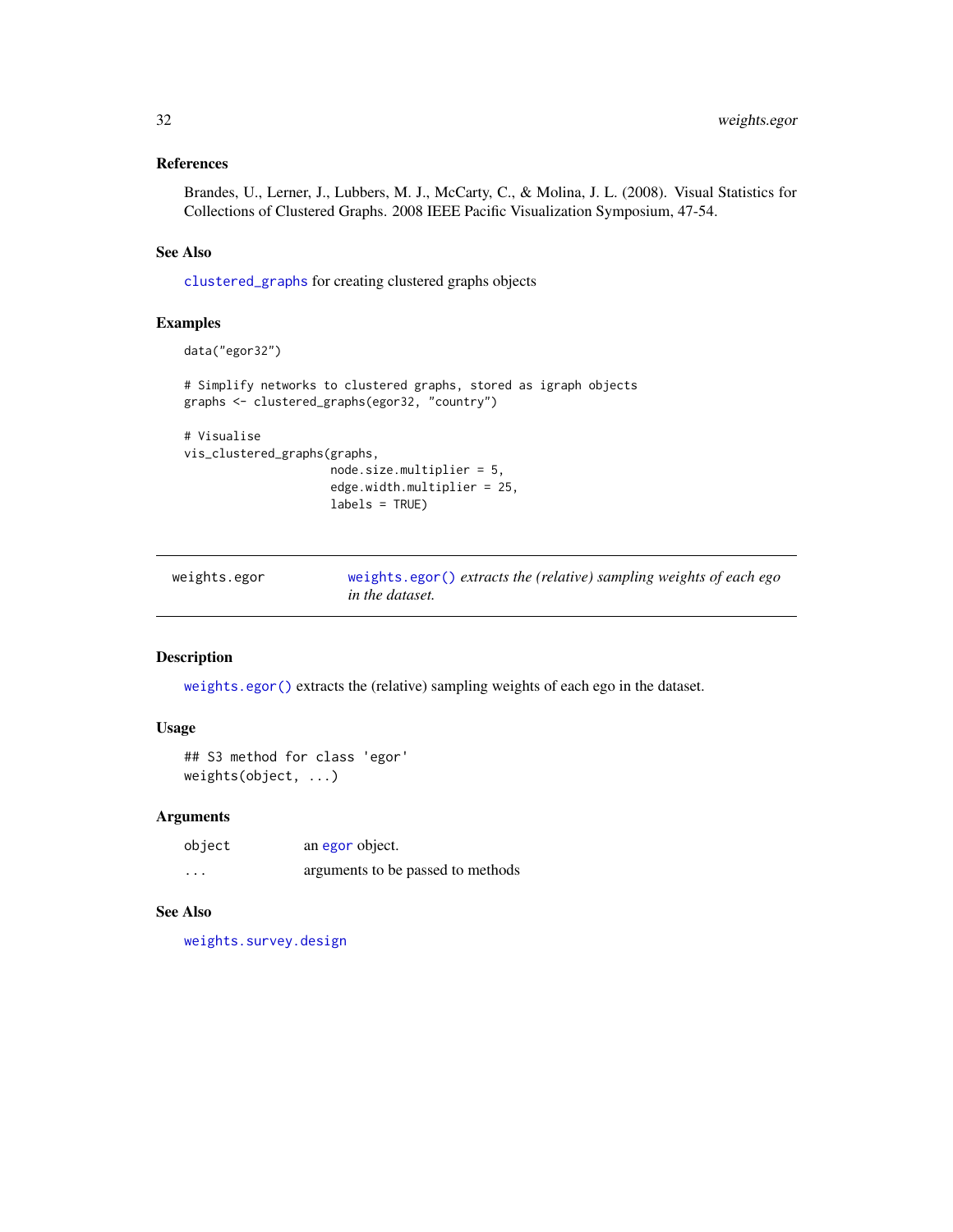## <span id="page-31-0"></span>References

Brandes, U., Lerner, J., Lubbers, M. J., McCarty, C., & Molina, J. L. (2008). Visual Statistics for Collections of Clustered Graphs. 2008 IEEE Pacific Visualization Symposium, 47-54.

## See Also

[clustered\\_graphs](#page-5-1) for creating clustered graphs objects

#### Examples

```
data("egor32")
# Simplify networks to clustered graphs, stored as igraph objects
graphs <- clustered_graphs(egor32, "country")
# Visualise
vis_clustered_graphs(graphs,
                     node.size.multiplier = 5,
                     edge.width.multiplier = 25,
```
labels = TRUE)

*in the dataset.*

```
weights.egor weights.egor() extracts the (relative) sampling weights of each ego
```
## Description

[weights.egor\(\)](#page-31-1) extracts the (relative) sampling weights of each ego in the dataset.

## Usage

```
## S3 method for class 'egor'
weights(object, ...)
```
#### Arguments

| object                  | an egor object.                   |
|-------------------------|-----------------------------------|
| $\cdot$ $\cdot$ $\cdot$ | arguments to be passed to methods |

#### See Also

[weights.survey.design](#page-0-0)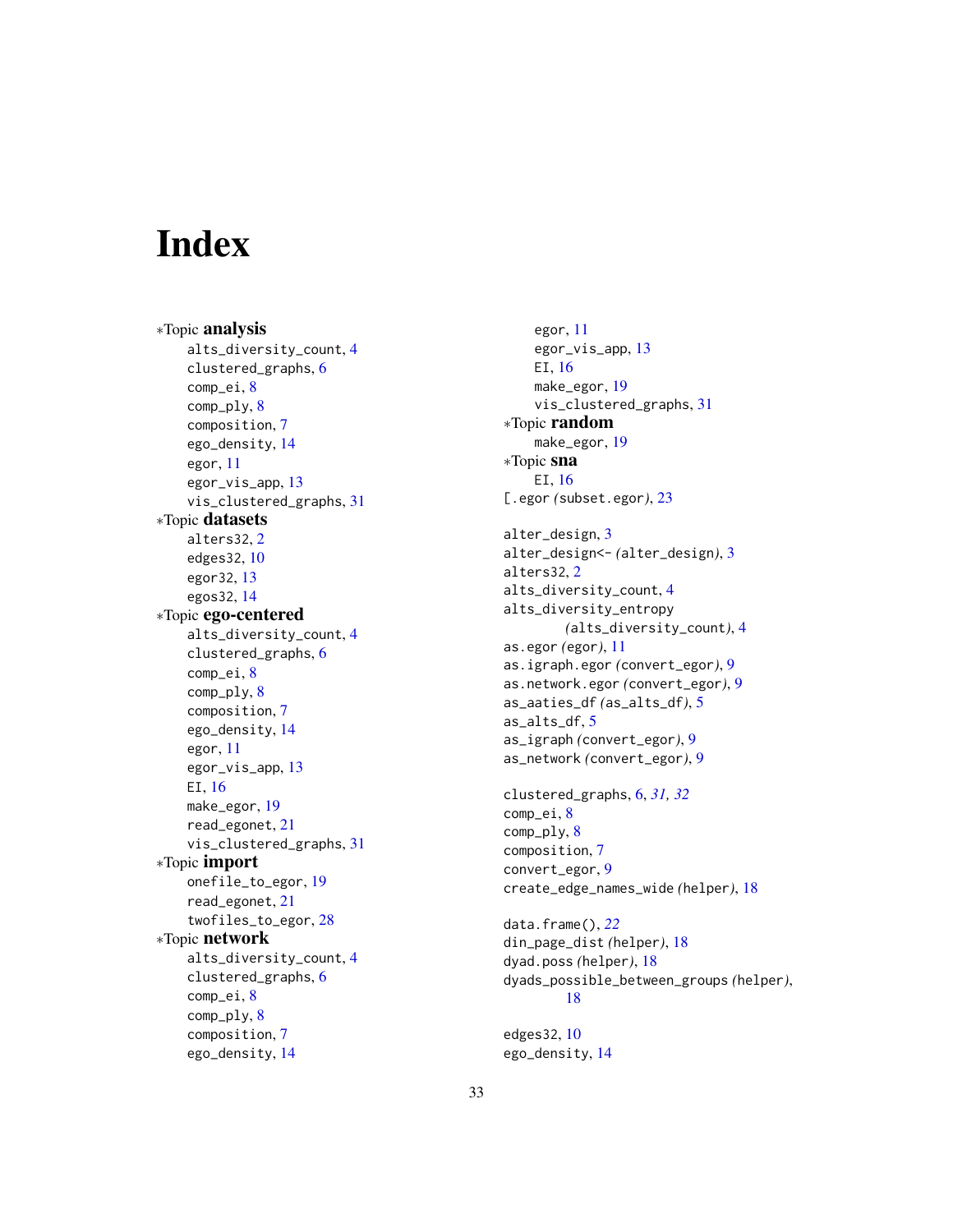# <span id="page-32-0"></span>**Index**

∗Topic analysis alts\_diversity\_count , [4](#page-3-0) clustered\_graphs , [6](#page-5-0) comp\_ei , [8](#page-7-0) comp\_ply , [8](#page-7-0) composition , [7](#page-6-0) ego\_density , [14](#page-13-0) egor , [11](#page-10-0) egor\_vis\_app , [13](#page-12-0) vis\_clustered\_graphs , [31](#page-30-0) ∗Topic datasets alters32 , [2](#page-1-0) edges32 , [10](#page-9-0) egor32 , [13](#page-12-0) egos32 , [14](#page-13-0) ∗Topic ego-centered alts\_diversity\_count , [4](#page-3-0) clustered\_graphs , [6](#page-5-0) comp\_ei , [8](#page-7-0) comp\_ply , [8](#page-7-0) composition , [7](#page-6-0) ego\_density , [14](#page-13-0) egor , [11](#page-10-0) egor\_vis\_app, [13](#page-12-0) EI , [16](#page-15-0) make\_egor , [19](#page-18-0) read\_egonet , [21](#page-20-0) vis\_clustered\_graphs , [31](#page-30-0) ∗Topic import onefile\_to\_egor , [19](#page-18-0) read\_egonet , [21](#page-20-0) twofiles\_to\_egor , [28](#page-27-0) ∗Topic network alts\_diversity\_count , [4](#page-3-0) clustered\_graphs , [6](#page-5-0) comp\_ei , [8](#page-7-0) comp\_ply , [8](#page-7-0) composition , [7](#page-6-0) ego\_density , [14](#page-13-0)

egor , [11](#page-10-0) egor\_vis\_app , [13](#page-12-0) EI , [16](#page-15-0) make\_egor , [19](#page-18-0) vis\_clustered\_graphs , [31](#page-30-0) ∗Topic random make\_egor , [19](#page-18-0) ∗Topic sna EI , [16](#page-15-0) [.egor *(*subset.egor *)* , [23](#page-22-0) alter\_design, [3](#page-2-0) alter\_design<- *(*alter\_design *)* , [3](#page-2-0) alters32 , [2](#page-1-0) alts\_diversity\_count , [4](#page-3-0) alts\_diversity\_entropy *(*alts\_diversity\_count *)* , [4](#page-3-0) as.egor *(*egor *)* , [11](#page-10-0) as.igraph.egor *(*convert\_egor *)* , [9](#page-8-0) as.network.egor *(*convert\_egor *)* , [9](#page-8-0) as\_aaties\_df *(*as\_alts\_df *)* , [5](#page-4-0) as\_alts\_df , [5](#page-4-0) as\_igraph *(*convert\_egor *)* , [9](#page-8-0) as\_network *(*convert\_egor *)* , [9](#page-8-0) clustered\_graphs , [6](#page-5-0) , *[31](#page-30-0) , [32](#page-31-0)* comp\_ei , [8](#page-7-0) comp\_ply , [8](#page-7-0) composition , [7](#page-6-0) convert\_egor , [9](#page-8-0) create\_edge\_names\_wide *(*helper *)* , [18](#page-17-0) data.frame() , *[22](#page-21-0)* din\_page\_dist *(*helper *)* , [18](#page-17-0) dyad.poss *(*helper *)* , [18](#page-17-0) dyads\_possible\_between\_groups *(*helper *)* , [18](#page-17-0) edges32 , [10](#page-9-0)

ego\_density , [14](#page-13-0)